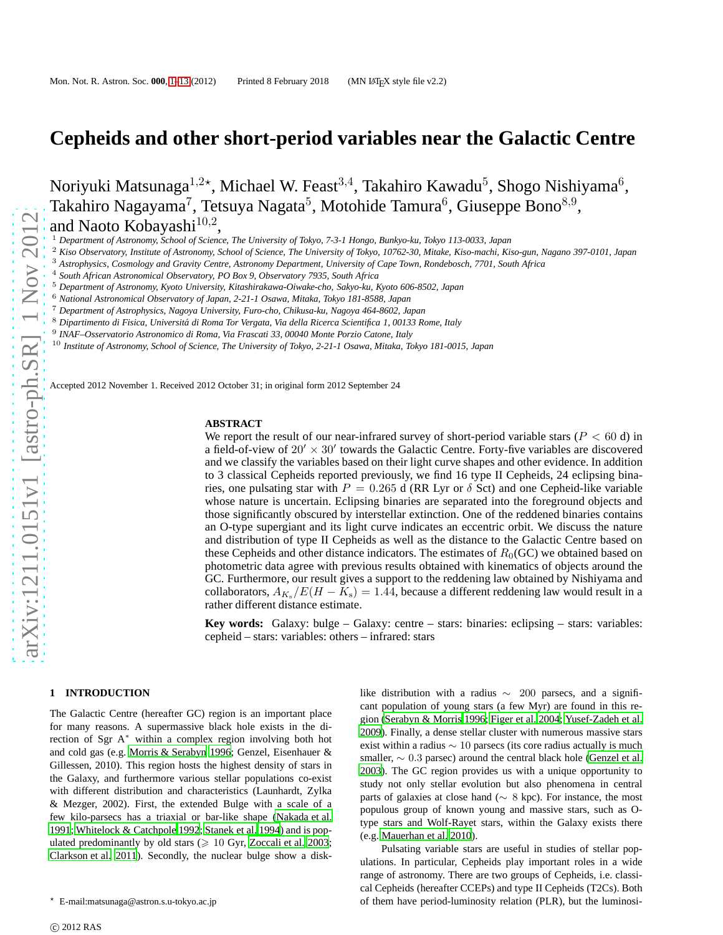# **Cepheids and other short-period variables near the Galactic Centre**

Noriyuki Matsunaga $^{1,2\star}$ , Michael W. Feast $^{3,4}$ , Takahiro Kawadu $^5$ , Shogo Nishiyama $^6$ , Takahiro Nagayama<sup>7</sup>, Tetsuya Nagata<sup>5</sup>, Motohide Tamura<sup>6</sup>, Giuseppe Bono<sup>8,9</sup>, and Naoto Kobayashi $^{10,2}$ ,

<sup>1</sup> *Department of Astronomy, School of Science, The University of Tokyo, 7-3-1 Hongo, Bunkyo-ku, Tokyo 113-0033, Japan*

<sup>2</sup> *Kiso Observatory, Institute of Astronomy, School of Science, The University of Tokyo, 10762-30, Mitake, Kiso-machi, Kiso-gun, Nagano 397-0101, Japan*

<sup>3</sup> *Astrophysics, Cosmology and Gravity Centre, Astronomy Department, University of Cape Town, Rondebosch, 7701, South Africa*

<sup>4</sup> *South African Astronomical Observatory, PO Box 9, Observatory 7935, South Africa*

<sup>5</sup> *Department of Astronomy, Kyoto University, Kitashirakawa-Oiwake-cho, Sakyo-ku, Kyoto 606-8502, Japan*

<sup>6</sup> *National Astronomical Observatory of Japan, 2-21-1 Osawa, Mitaka, Tokyo 181-8588, Japan*

<sup>7</sup> *Department of Astrophysics, Nagoya University, Furo-cho, Chikusa-ku, Nagoya 464-8602, Japan*

<sup>8</sup> Dipartimento di Fisica, Universitá di Roma Tor Vergata, Via della Ricerca Scientifica 1, 00133 Rome, Italy

9 *INAF–Osservatorio Astronomico di Roma, Via Frascati 33, 00040 Monte Porzio Catone, Italy*

<sup>10</sup> *Institute of Astronomy, School of Science, The University of Tokyo, 2-21-1 Osawa, Mitaka, Tokyo 181-0015, Japan*

Accepted 2012 November 1. Received 2012 October 31; in original form 2012 September 24

#### **ABSTRACT**

We report the result of our near-infrared survey of short-period variable stars ( $P < 60$  d) in a field-of-view of  $20' \times 30'$  towards the Galactic Centre. Forty-five variables are discovered and we classify the variables based on their light curve shapes and other evidence. In addition to 3 classical Cepheids reported previously, we find 16 type II Cepheids, 24 eclipsing binaries, one pulsating star with  $P = 0.265$  d (RR Lyr or  $\delta$  Sct) and one Cepheid-like variable whose nature is uncertain. Eclipsing binaries are separated into the foreground objects and those significantly obscured by interstellar extinction. One of the reddened binaries contains an O-type supergiant and its light curve indicates an eccentric orbit. We discuss the nature and distribution of type II Cepheids as well as the distance to the Galactic Centre based on these Cepheids and other distance indicators. The estimates of  $R_0(GC)$  we obtained based on photometric data agree with previous results obtained with kinematics of objects around the GC. Furthermore, our result gives a support to the reddening law obtained by Nishiyama and collaborators,  $A_{K_s}/E(H - K_s) = 1.44$ , because a different reddening law would result in a rather different distance estimate.

**Key words:** Galaxy: bulge – Galaxy: centre – stars: binaries: eclipsing – stars: variables: cepheid – stars: variables: others – infrared: stars

# <span id="page-0-0"></span>**1 INTRODUCTION**

The Galactic Centre (hereafter GC) region is an important place for many reasons. A supermassive black hole exists in the direction of Sgr A<sup>∗</sup> within a complex region involving both hot and cold gas (e.g. [Morris & Serabyn 1996;](#page-12-0) Genzel, Eisenhauer & Gillessen, 2010). This region hosts the highest density of stars in the Galaxy, and furthermore various stellar populations co-exist with different distribution and characteristics (Launhardt, Zylka & Mezger, 2002). First, the extended Bulge with a scale of a few kilo-parsecs has a triaxial or bar-like shape [\(Nakada et](#page-12-1) al. [1991;](#page-12-1) [Whitelock & Catchpole 1992](#page-12-2); [Stanek et al. 1994](#page-12-3)) and is populated predominantly by old stars  $(\geq 10 \text{ Gyr}, \text{Zoccali})$  et al. 2003; [Clarkson et al. 2011](#page-12-5)). Secondly, the nuclear bulge show a disk-

c 2012 RAS

like distribution with a radius ∼ 200 parsecs, and a significant population of young stars (a few Myr) are found in this region [\(Serabyn & Morris 1996](#page-12-6); [Figer et al. 2004](#page-12-7); [Yusef-Zadeh et al.](#page-12-8) [2009](#page-12-8)). Finally, a dense stellar cluster with numerous massive stars exist within a radius ∼ 10 parsecs (its core radius actually is much smaller, ∼ 0.3 parsec) around the central black hole [\(Genzel et al.](#page-12-9) [2003](#page-12-9)). The GC region provides us with a unique opportunity to study not only stellar evolution but also phenomena in central parts of galaxies at close hand (∼ 8 kpc). For instance, the most populous group of known young and massive stars, such as Otype stars and Wolf-Rayet stars, within the Galaxy exists there (e.g. [Mauerhan et al. 2010](#page-12-10)).

Pulsating variable stars are useful in studies of stellar populations. In particular, Cepheids play important roles in a wide range of astronomy. There are two groups of Cepheids, i.e. classical Cepheids (hereafter CCEPs) and type II Cepheids (T2Cs). Both of them have period-luminosity relation (PLR), but the luminosi-

<sup>⋆</sup> E-mail:matsunaga@astron.s.u-tokyo.ac.jp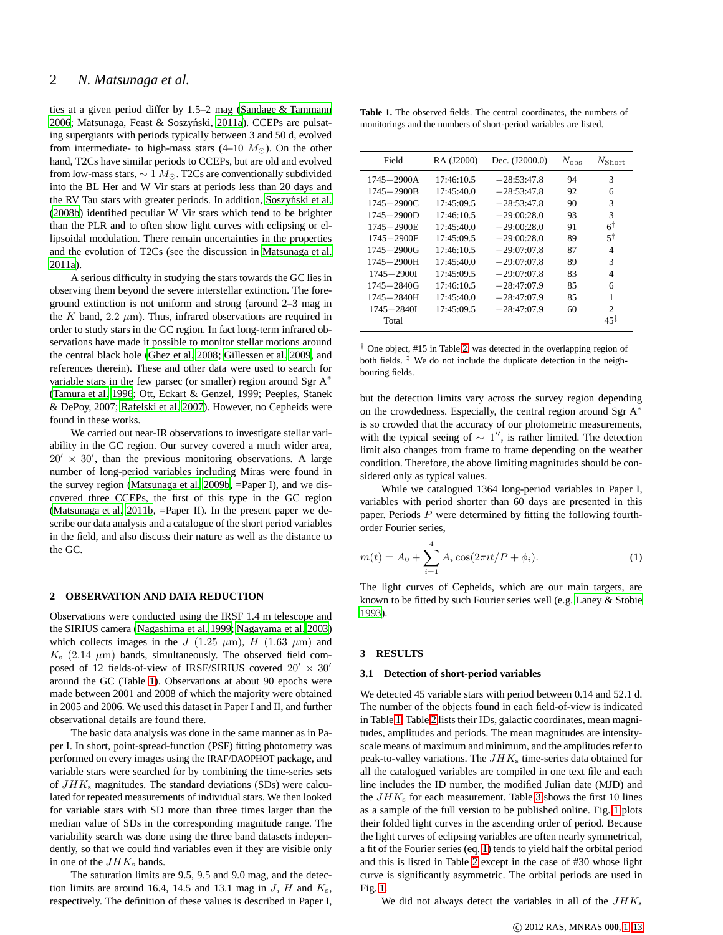ties at a given period differ by 1.5–2 mag [\(Sandage & Tammann](#page-12-11) [2006;](#page-12-11) Matsunaga, Feast & Soszyński, [2011a](#page-12-12)). CCEPs are pulsating supergiants with periods typically between 3 and 50 d, evolved from intermediate- to high-mass stars (4–10  $M_{\odot}$ ). On the other hand, T2Cs have similar periods to CCEPs, but are old and evolved from low-mass stars,  $\sim 1 M_{\odot}$ . T2Cs are conventionally subdivided into the BL Her and W Vir stars at periods less than 20 days and the RV Tau stars with greater periods. In addition, Soszyński et al. [\(2008b](#page-12-13)) identified peculiar W Vir stars which tend to be brighter than the PLR and to often show light curves with eclipsing or ellipsoidal modulation. There remain uncertainties in the properties and the evolution of T2Cs (see the discussion in [Matsunaga et](#page-12-12) al. [2011a](#page-12-12)).

A serious difficulty in studying the stars towards the GC lies in observing them beyond the severe interstellar extinction. The foreground extinction is not uniform and strong (around 2–3 mag in the K band,  $2.2 \mu m$ ). Thus, infrared observations are required in order to study stars in the GC region. In fact long-term infrared observations have made it possible to monitor stellar motions around the central black hole [\(Ghez et al. 2008;](#page-12-14) [Gillessen et al. 2009](#page-12-15), and references therein). These and other data were used to search for variable stars in the few parsec (or smaller) region around Sgr A<sup>∗</sup> [\(Tamura et al. 1996;](#page-12-16) Ott, Eckart & Genzel, 1999; Peeples, Stanek & DePoy, 2007; [Rafelski et al. 2007](#page-12-17)). However, no Cepheids were found in these works.

We carried out near-IR observations to investigate stellar variability in the GC region. Our survey covered a much wider area,  $20' \times 30'$ , than the previous monitoring observations. A large number of long-period variables including Miras were found in the survey region [\(Matsunaga et al. 2009b,](#page-12-18) =Paper I), and we discovered three CCEPs, the first of this type in the GC region [\(Matsunaga et al. 2011b,](#page-12-19) =Paper II). In the present paper we describe our data analysis and a catalogue of the short period variables in the field, and also discuss their nature as well as the distance to the GC.

# **2 OBSERVATION AND DATA REDUCTION**

Observations were conducted using the IRSF 1.4 m telescope and the SIRIUS camera [\(Nagashima et al. 1999;](#page-12-20) [Nagayama et al. 2003](#page-12-21)) which collects images in the J (1.25  $\mu$ m), H (1.63  $\mu$ m) and  $K<sub>s</sub>$  (2.14  $\mu$ m) bands, simultaneously. The observed field composed of 12 fields-of-view of IRSF/SIRIUS covered  $20' \times 30'$ around the GC (Table [1\)](#page-1-0). Observations at about 90 epochs were made between 2001 and 2008 of which the majority were obtained in 2005 and 2006. We used this dataset in Paper I and II, and further observational details are found there.

The basic data analysis was done in the same manner as in Paper I. In short, point-spread-function (PSF) fitting photometry was performed on every images using the IRAF/DAOPHOT package, and variable stars were searched for by combining the time-series sets of  $JHK<sub>s</sub>$  magnitudes. The standard deviations (SDs) were calculated for repeated measurements of individual stars. We then looked for variable stars with SD more than three times larger than the median value of SDs in the corresponding magnitude range. The variability search was done using the three band datasets independently, so that we could find variables even if they are visible only in one of the  $JHK<sub>s</sub>$  bands.

The saturation limits are 9.5, 9.5 and 9.0 mag, and the detection limits are around 16.4, 14.5 and 13.1 mag in  $J$ ,  $H$  and  $K_s$ , respectively. The definition of these values is described in Paper I,

<span id="page-1-0"></span>**Table 1.** The observed fields. The central coordinates, the numbers of monitorings and the numbers of short-period variables are listed.

| Field           | RA (J2000) | Dec. (J2000.0) | $N_{\rm obs}$ | $N_{\rm Short}$ |
|-----------------|------------|----------------|---------------|-----------------|
| $1745 - 2900A$  | 17:46:10.5 | $-28:53:47.8$  | 94            | 3               |
| 1745-2900B      | 17:45:40.0 | $-28:53:47.8$  | 92            | 6               |
| $1745 - 2900C$  | 17:45:09.5 | $-28:53:47.8$  | 90            | 3               |
| $1745 - 2900D$  | 17:46:10.5 | $-29:00:28.0$  | 93            | 3               |
| 1745-2900E      | 17:45:40.0 | $-29:00:28.0$  | 91            | $6^{\dagger}$   |
| 1745-2900F      | 17:45:09.5 | $-29:00:28.0$  | 89            | $5^{\dagger}$   |
| $1745 - 2900$ G | 17:46:10.5 | $-29:07:07.8$  | 87            | $\overline{4}$  |
| $1745 - 2900$ H | 17:45:40.0 | $-29:07:07.8$  | 89            | 3               |
| $1745 - 2900$   | 17:45:09.5 | $-29:07:07.8$  | 83            | 4               |
| $1745 - 2840G$  | 17:46:10.5 | $-28:47:07.9$  | 85            | 6               |
| $1745 - 2840H$  | 17:45:40.0 | $-28:47:07.9$  | 85            | 1               |
| $1745 - 2840I$  | 17:45:09.5 | $-28:47:07.9$  | 60            | $\overline{c}$  |
| Total           |            |                |               | $45^{\ddagger}$ |

† One object, #15 in Table [2,](#page-2-0) was detected in the overlapping region of both fields.  $\frac{1}{x}$  We do not include the duplicate detection in the neighbouring fields.

but the detection limits vary across the survey region depending on the crowdedness. Especially, the central region around Sgr A<sup>∗</sup> is so crowded that the accuracy of our photometric measurements, with the typical seeing of  $\sim 1''$ , is rather limited. The detection limit also changes from frame to frame depending on the weather condition. Therefore, the above limiting magnitudes should be considered only as typical values.

While we catalogued 1364 long-period variables in Paper I, variables with period shorter than 60 days are presented in this paper. Periods P were determined by fitting the following fourthorder Fourier series,

<span id="page-1-1"></span>
$$
m(t) = A_0 + \sum_{i=1}^{4} A_i \cos(2\pi i t / P + \phi_i).
$$
 (1)

The light curves of Cepheids, which are our main targets, are known to be fitted by such Fourier series well (e.g. [Laney & Stobie](#page-12-22) [1993](#page-12-22)).

# **3 RESULTS**

### **3.1 Detection of short-period variables**

We detected 45 variable stars with period between 0.14 and 52.1 d. The number of the objects found in each field-of-view is indicated in Table [1.](#page-1-0) Table [2](#page-2-0) lists their IDs, galactic coordinates, mean magnitudes, amplitudes and periods. The mean magnitudes are intensityscale means of maximum and minimum, and the amplitudes refer to peak-to-valley variations. The  $JHK<sub>s</sub>$  time-series data obtained for all the catalogued variables are compiled in one text file and each line includes the ID number, the modified Julian date (MJD) and the  $JHK<sub>s</sub>$  for each measurement. Table [3](#page-3-0) shows the first 10 lines as a sample of the full version to be published online. Fig. [1](#page-3-1) plots their folded light curves in the ascending order of period. Because the light curves of eclipsing variables are often nearly symmetrical, a fit of the Fourier series (eq. [1\)](#page-1-1) tends to yield half the orbital period and this is listed in Table [2](#page-2-0) except in the case of #30 whose light curve is significantly asymmetric. The orbital periods are used in Fig. [1.](#page-3-1)

We did not always detect the variables in all of the  $JHK<sub>s</sub>$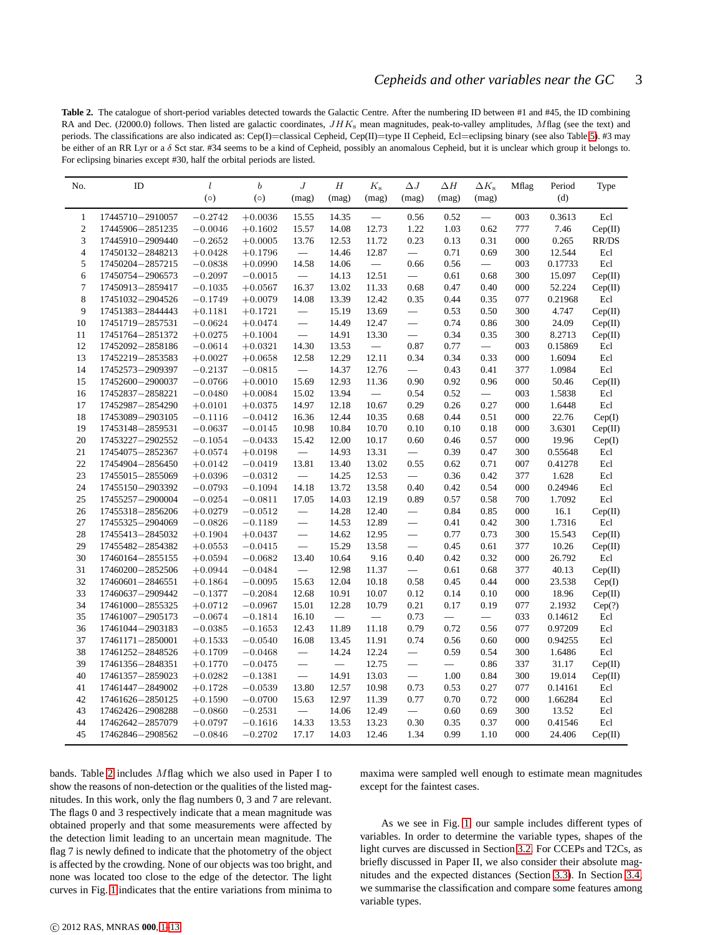<span id="page-2-0"></span>**Table 2.** The catalogue of short-period variables detected towards the Galactic Centre. After the numbering ID between #1 and #45, the ID combining RA and Dec. (J2000.0) follows. Then listed are galactic coordinates,  $JHK<sub>s</sub>$  mean magnitudes, peak-to-valley amplitudes, Mflag (see the text) and periods. The classifications are also indicated as: Cep(I)=classical Cepheid, Cep(II)=type II Cepheid, Ecl=eclipsing binary (see also Table [5\)](#page-6-0). #3 may be either of an RR Lyr or a δ Sct star. #34 seems to be a kind of Cepheid, possibly an anomalous Cepheid, but it is unclear which group it belongs to. For eclipsing binaries except #30, half the orbital periods are listed.

| No.              | ID                 | l         | $\boldsymbol{b}$ | J                        | Н                        | $K_{\rm s}$              | $\Delta J$                       | $\Delta H$               | $\Delta K_{\rm s}$ | Mflag | Period  | Type    |
|------------------|--------------------|-----------|------------------|--------------------------|--------------------------|--------------------------|----------------------------------|--------------------------|--------------------|-------|---------|---------|
|                  |                    | (0)       | (0)              | (mag)                    | (mag)                    | (mag)                    | (mag)                            | (mag)                    | (mag)              |       | (d)     |         |
| $\mathbf{1}$     | 17445710-2910057   | $-0.2742$ | $+0.0036$        | 15.55                    | 14.35                    | $\overline{\phantom{0}}$ | 0.56                             | 0.52                     |                    | 003   | 0.3613  | Ecl     |
| $\boldsymbol{2}$ | 17445906-2851235   | $-0.0046$ | $+0.1602$        | 15.57                    | 14.08                    | 12.73                    | 1.22                             | 1.03                     | 0.62               | 777   | 7.46    | Cep(II) |
| 3                | 17445910-2909440   | $-0.2652$ | $+0.0005$        | 13.76                    | 12.53                    | 11.72                    | 0.23                             | 0.13                     | 0.31               | 000   | 0.265   | RR/DS   |
| $\overline{4}$   | 17450132-2848213   | $+0.0428$ | $+0.1796$        | $\overline{\phantom{0}}$ | 14.46                    | 12.87                    | $\equiv$                         | 0.71                     | 0.69               | 300   | 12.544  | Ecl     |
| 5                | 17450204-2857215   | $-0.0838$ | $+0.0990$        | 14.58                    | 14.06                    | $\overline{\phantom{m}}$ | 0.66                             | 0.56                     | $\equiv$           | 003   | 0.17733 | Ecl     |
| 6                | 17450754-2906573   | $-0.2097$ | $-0.0015$        | $\overline{\phantom{0}}$ | 14.13                    | 12.51                    | $\overline{\phantom{0}}$         | 0.61                     | 0.68               | 300   | 15.097  | Cep(II) |
| $\tau$           | 17450913-2859417   | $-0.1035$ | $+0.0567$        | 16.37                    | 13.02                    | 11.33                    | 0.68                             | 0.47                     | 0.40               | 000   | 52.224  | Cep(II) |
| 8                | 17451032-2904526   | $-0.1749$ | $+0.0079$        | 14.08                    | 13.39                    | 12.42                    | 0.35                             | 0.44                     | 0.35               | 077   | 0.21968 | Ecl     |
| 9                | 17451383-2844443   | $+0.1181$ | $+0.1721$        |                          | 15.19                    | 13.69                    |                                  | 0.53                     | 0.50               | 300   | 4.747   | Cep(II) |
| 10               | 17451719-2857531   | $-0.0624$ | $+0.0474$        | $\overline{\phantom{m}}$ | 14.49                    | 12.47                    | $\overline{\phantom{0}}$         | 0.74                     | 0.86               | 300   | 24.09   | Cep(II) |
| 11               | 17451764-2851372   | $+0.0275$ | $+0.1004$        | $\overline{\phantom{0}}$ | 14.91                    | 13.30                    | $\overline{\phantom{0}}$         | 0.34                     | 0.35               | 300   | 8.2713  | Cep(II) |
| 12               | 17452092-2858186   | $-0.0614$ | $+0.0321$        | 14.30                    | 13.53                    | $\overline{\phantom{m}}$ | 0.87                             | 0.77                     |                    | 003   | 0.15869 | Ecl     |
| 13               | 17452219-2853583   | $+0.0027$ | $+0.0658$        | 12.58                    | 12.29                    | 12.11                    | 0.34                             | 0.34                     | 0.33               | 000   | 1.6094  | Ecl     |
| 14               | 17452573-2909397   | $-0.2137$ | $-0.0815$        |                          | 14.37                    | 12.76                    | $\frac{1}{2}$                    | 0.43                     | 0.41               | 377   | 1.0984  | Ecl     |
| 15               | 17452600-2900037   | $-0.0766$ | $+0.0010$        | 15.69                    | 12.93                    | 11.36                    | 0.90                             | 0.92                     | 0.96               | 000   | 50.46   | Cep(II) |
| 16               | 17452837-2858221   | $-0.0480$ | $+0.0084$        | 15.02                    | 13.94                    | $\overline{\phantom{0}}$ | 0.54                             | 0.52                     |                    | 003   | 1.5838  | Ecl     |
| 17               | 17452987-2854290   | $+0.0101$ | $+0.0375$        | 14.97                    | 12.18                    | 10.67                    | 0.29                             | 0.26                     | 0.27               | 000   | 1.6448  | Ecl     |
| 18               | 17453089-2903105   | $-0.1116$ | $-0.0412$        | 16.36                    | 12.44                    | 10.35                    | 0.68                             | 0.44                     | 0.51               | 000   | 22.76   | Cep(I)  |
| 19               | 17453148-2859531   | $-0.0637$ | $-0.0145$        | 10.98                    | 10.84                    | 10.70                    | 0.10                             | 0.10                     | 0.18               | 000   | 3.6301  | Cep(II) |
| 20               | 17453227-2902552   | $-0.1054$ | $-0.0433$        | 15.42                    | 12.00                    | 10.17                    | 0.60                             | 0.46                     | 0.57               | 000   | 19.96   | Cep(I)  |
| 21               | 17454075-2852367   | $+0.0574$ | $+0.0198$        | $\overline{\phantom{0}}$ | 14.93                    | 13.31                    |                                  | 0.39                     | 0.47               | 300   | 0.55648 | Ecl     |
| 22               | 17454904-2856450   | $+0.0142$ | $-0.0419$        | 13.81                    | 13.40                    | 13.02                    | 0.55                             | 0.62                     | 0.71               | 007   | 0.41278 | Ecl     |
| 23               | 17455015-2855069   | $+0.0396$ | $-0.0312$        | $\overline{\phantom{0}}$ | 14.25                    | 12.53                    | $\equiv$                         | 0.36                     | 0.42               | 377   | 1.628   | Ecl     |
| 24               | 17455150-2903392   | $-0.0793$ | $-0.1094$        | 14.18                    | 13.72                    | 13.58                    | 0.40                             | 0.42                     | 0.54               | 000   | 0.24946 | Ecl     |
| 25               | 17455257-2900004   | $-0.0254$ | $-0.0811$        | 17.05                    | 14.03                    | 12.19                    | 0.89                             | 0.57                     | 0.58               | 700   | 1.7092  | Ecl     |
| 26               | 17455318-2856206   | $+0.0279$ | $-0.0512$        | $\overline{\phantom{0}}$ | 14.28                    | 12.40                    | $\qquad \qquad -$                | 0.84                     | 0.85               | 000   | 16.1    | Cep(II) |
| 27               | 17455325-2904069   | $-0.0826$ | $-0.1189$        |                          | 14.53                    | 12.89                    | $\qquad \qquad$                  | 0.41                     | 0.42               | 300   | 1.7316  | Ecl     |
| 28               | 17455413-2845032   | $+0.1904$ | $+0.0437$        | $\overline{\phantom{0}}$ | 14.62                    | 12.95                    | $\overbrace{\phantom{1232211}}$  | 0.77                     | 0.73               | 300   | 15.543  | Cep(II) |
| 29               | 17455482-2854382   | $+0.0553$ | $-0.0415$        |                          | 15.29                    | 13.58                    | $\overbrace{\phantom{12322111}}$ | 0.45                     | 0.61               | 377   | 10.26   | Cep(II) |
| 30               | 17460164-2855155   | $+0.0594$ | $-0.0682$        | 13.40                    | 10.64                    | 9.16                     | 0.40                             | 0.42                     | 0.32               | 000   | 26.792  | Ecl     |
| 31               | 17460200-2852506   | $+0.0944$ | $-0.0484$        |                          | 12.98                    | 11.37                    | $\equiv$                         | 0.61                     | 0.68               | 377   | 40.13   | Cep(II) |
| 32               | 17460601-2846551   | $+0.1864$ | $-0.0095$        | 15.63                    | 12.04                    | 10.18                    | 0.58                             | 0.45                     | 0.44               | 000   | 23.538  | Cep(I)  |
| 33               | 17460637-2909442   | $-0.1377$ | $-0.2084$        | 12.68                    | 10.91                    | 10.07                    | 0.12                             | 0.14                     | 0.10               | 000   | 18.96   | Cep(II) |
| 34               | 17461000 - 2855325 | $+0.0712$ | $-0.0967$        | 15.01                    | 12.28                    | 10.79                    | 0.21                             | 0.17                     | 0.19               | 077   | 2.1932  | Cep(?)  |
| 35               | 17461007-2905173   | $-0.0674$ | $-0.1814$        | 16.10                    | $\overline{\phantom{0}}$ | $\overline{\phantom{m}}$ | 0.73                             |                          | $\frac{1}{2}$      | 033   | 0.14612 | Ecl     |
| 36               | 17461044-2903183   | $-0.0385$ | $-0.1653$        | 12.43                    | 11.89                    | 11.18                    | 0.79                             | 0.72                     | 0.56               | 077   | 0.97209 | Ecl     |
| 37               | 17461171-2850001   | $+0.1533$ | $-0.0540$        | 16.08                    | 13.45                    | 11.91                    | 0.74                             | 0.56                     | 0.60               | 000   | 0.94255 | Ecl     |
| 38               | 17461252-2848526   | $+0.1709$ | $-0.0468$        | $\overline{\phantom{0}}$ | 14.24                    | 12.24                    | $\overline{\phantom{0}}$         | 0.59                     | 0.54               | 300   | 1.6486  | Ecl     |
| 39               | 17461356-2848351   | $+0.1770$ | $-0.0475$        |                          | $\overline{\phantom{0}}$ | 12.75                    | $\overline{\phantom{m}}$         | $\overline{\phantom{0}}$ | 0.86               | 337   | 31.17   | Cep(II) |
| 40               | 17461357-2859023   | $+0.0282$ | $-0.1381$        |                          | 14.91                    | 13.03                    | $\overline{\phantom{0}}$         | 1.00                     | 0.84               | 300   | 19.014  | Cep(II) |
| 41               | 17461447-2849002   | $+0.1728$ | $-0.0539$        | 13.80                    | 12.57                    | 10.98                    | 0.73                             | 0.53                     | 0.27               | 077   | 0.14161 | Ecl     |
| 42               | 17461626-2850125   | $+0.1590$ | $-0.0700$        | 15.63                    | 12.97                    | 11.39                    | 0.77                             | 0.70                     | 0.72               | 000   | 1.66284 | Ecl     |
| 43               | 17462426-2908288   | $-0.0860$ | $-0.2531$        |                          | 14.06                    | 12.49                    |                                  | 0.60                     | 0.69               | 300   | 13.52   | Ecl     |
| 44               | 17462642-2857079   | $+0.0797$ | $-0.1616$        | 14.33                    | 13.53                    | 13.23                    | 0.30                             | 0.35                     | 0.37               | 000   | 0.41546 | Ecl     |
| 45               | 17462846-2908562   | $-0.0846$ | $-0.2702$        | 17.17                    | 14.03                    | 12.46                    | 1.34                             | 0.99                     | 1.10               | 000   | 24.406  | Cep(II) |

bands. Table [2](#page-2-0) includes Mflag which we also used in Paper I to show the reasons of non-detection or the qualities of the listed magnitudes. In this work, only the flag numbers 0, 3 and 7 are relevant. The flags 0 and 3 respectively indicate that a mean magnitude was obtained properly and that some measurements were affected by the detection limit leading to an uncertain mean magnitude. The flag 7 is newly defined to indicate that the photometry of the object is affected by the crowding. None of our objects was too bright, and none was located too close to the edge of the detector. The light curves in Fig. [1](#page-3-1) indicates that the entire variations from minima to maxima were sampled well enough to estimate mean magnitudes except for the faintest cases.

As we see in Fig. [1,](#page-3-1) our sample includes different types of variables. In order to determine the variable types, shapes of the light curves are discussed in Section [3.2.](#page-3-2) For CCEPs and T2Cs, as briefly discussed in Paper II, we also consider their absolute magnitudes and the expected distances (Section [3.3\)](#page-5-0). In Section [3.4,](#page-7-0) we summarise the classification and compare some features among variable types.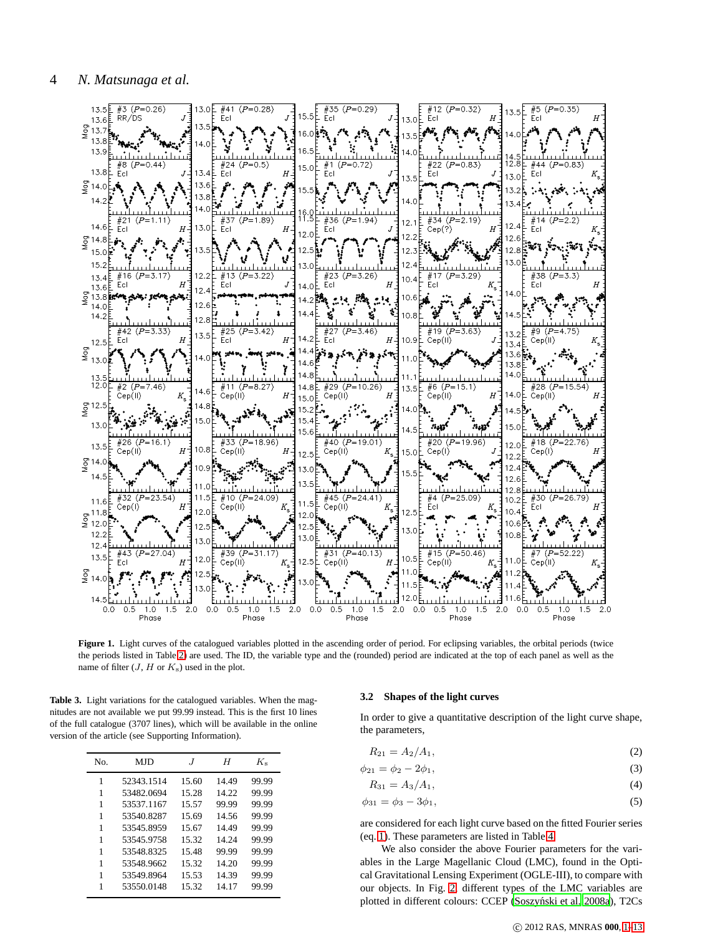

<span id="page-3-1"></span>Figure 1. Light curves of the catalogued variables plotted in the ascending order of period. For eclipsing variables, the orbital periods (twice the periods listed in Table [2\)](#page-2-0) are used. The ID, the variable type and the (rounded) period are indicated at the top of each panel as well as the name of filter  $(J, H \text{ or } K_s)$  used in the plot.

<span id="page-3-0"></span>**Table 3.** Light variations for the catalogued variables. When the magnitudes are not available we put 99.99 instead. This is the first 10 lines of the full catalogue (3707 lines), which will be available in the online version of the article (see Supporting Information).

| No. | MJD        | $\cdot$ T | Η     | $K_{\rm s}$ |
|-----|------------|-----------|-------|-------------|
| 1   | 52343.1514 | 15.60     | 14.49 | 99.99       |
| 1   | 53482.0694 | 15.28     | 14.22 | 99.99       |
| 1   | 53537.1167 | 15.57     | 99.99 | 99.99       |
| 1   | 53540.8287 | 15.69     | 14.56 | 99.99       |
| 1   | 53545.8959 | 15.67     | 14.49 | 99.99       |
| 1   | 53545.9758 | 15.32     | 14.24 | 99.99       |
| 1   | 53548.8325 | 15.48     | 99.99 | 99.99       |
| 1   | 53548.9662 | 15.32     | 14.20 | 99.99       |
| 1   | 53549.8964 | 15.53     | 14.39 | 99.99       |
| 1   | 53550.0148 | 15.32     | 14.17 | 99.99       |

#### <span id="page-3-2"></span>**3.2 Shapes of the light curves**

In order to give a quantitative description of the light curve shape, the parameters,

<span id="page-3-3"></span>
$$
R_{21} = A_2/A_1,\t\t(2)
$$

$$
\phi_{21} = \phi_2 - 2\phi_1,\tag{3}
$$

$$
R_{31} = A_3/A_1,\t\t(4)
$$

$$
\phi_{31} = \phi_3 - 3\phi_1,\tag{5}
$$

are considered for each light curve based on the fitted Fourier series (eq. [1\)](#page-1-1). These parameters are listed in Table [4.](#page-4-0)

We also consider the above Fourier parameters for the variables in the Large Magellanic Cloud (LMC), found in the Optical Gravitational Lensing Experiment (OGLE-III), to compare with our objects. In Fig. [2,](#page-5-1) different types of the LMC variables are plotted in different colours: CCEP (Soszyński et al. 2008a), T2Cs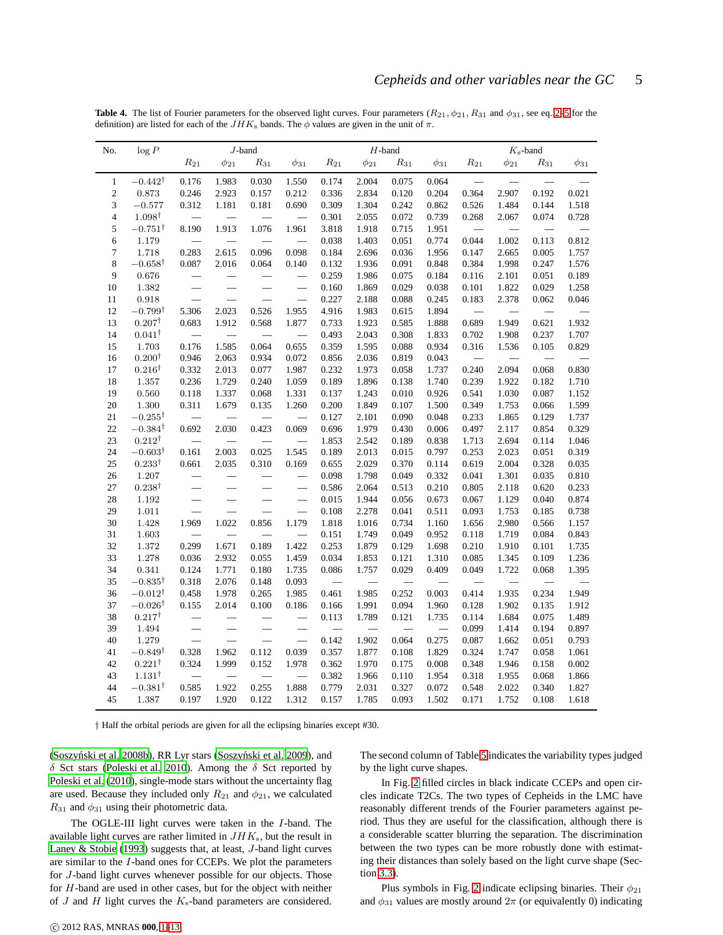<span id="page-4-0"></span>

|  | <b>Table 4.</b> The list of Fourier parameters for the observed light curves. Four parameters $(R_{21}, \phi_{21}, R_{31}$ and $\phi_{31}$ , see eq. 2–5 for the |  |  |  |  |
|--|------------------------------------------------------------------------------------------------------------------------------------------------------------------|--|--|--|--|
|  | definition) are listed for each of the $JHKs$ bands. The $\phi$ values are given in the unit of $\pi$ .                                                          |  |  |  |  |

| No.                      | log P              | $J\mbox{-band}$          |                          |                          |                          |                          | $H$ -band                |                 | $K_{\rm s}\text{-band}$ |                          |             |                 |             |
|--------------------------|--------------------|--------------------------|--------------------------|--------------------------|--------------------------|--------------------------|--------------------------|-----------------|-------------------------|--------------------------|-------------|-----------------|-------------|
|                          |                    | $\mathcal{R}_{21}$       | $\phi_{21}$              | ${\cal R}_{31}$          | $\phi_{31}$              | $\mathcal{R}_{21}$       | $\phi_{21}$              | ${\cal R}_{31}$ | $\phi_{31}$             | $R_{21}$                 | $\phi_{21}$ | ${\cal R}_{31}$ | $\phi_{31}$ |
| $\mathbf{1}$             | $-0.442^{\dagger}$ | 0.176                    | 1.983                    | 0.030                    | 1.550                    | 0.174                    | 2.004                    | 0.075           | 0.064                   |                          |             |                 |             |
| $\mathfrak{2}$           | 0.873              | 0.246                    | 2.923                    | 0.157                    | 0.212                    | 0.336                    | 2.834                    | 0.120           | 0.204                   | 0.364                    | 2.907       | 0.192           | 0.021       |
| 3                        | $-0.577$           | 0.312                    | 1.181                    | 0.181                    | 0.690                    | 0.309                    | 1.304                    | 0.242           | 0.862                   | 0.526                    | 1.484       | 0.144           | 1.518       |
| $\overline{\mathcal{L}}$ | $1.098^{\dagger}$  | $\equiv$                 | $\overline{\phantom{0}}$ | $\qquad \qquad$          |                          | 0.301                    | 2.055                    | 0.072           | 0.739                   | 0.268                    | 2.067       | 0.074           | 0.728       |
| 5                        | $-0.751^{\dagger}$ | 8.190                    | 1.913                    | 1.076                    | 1.961                    | 3.818                    | 1.918                    | 0.715           | 1.951                   | $\overline{\phantom{0}}$ | $\equiv$    | $\qquad \qquad$ |             |
| 6                        | 1.179              |                          |                          |                          |                          | 0.038                    | 1.403                    | 0.051           | 0.774                   | 0.044                    | 1.002       | 0.113           | 0.812       |
| 7                        | 1.718              | 0.283                    | 2.615                    | 0.096                    | 0.098                    | 0.184                    | 2.696                    | 0.036           | 1.956                   | 0.147                    | 2.665       | 0.005           | 1.757       |
| 8                        | $-0.658^{\dagger}$ | 0.087                    | 2.016                    | 0.064                    | 0.140                    | 0.132                    | 1.936                    | 0.091           | 0.848                   | 0.384                    | 1.998       | 0.247           | 1.576       |
| 9                        | $0.676\,$          | $\overline{\phantom{0}}$ |                          | $\overline{\phantom{0}}$ | $\equiv$                 | 0.259                    | 1.986                    | 0.075           | 0.184                   | 0.116                    | 2.101       | 0.051           | 0.189       |
| 10                       | 1.382              | $\overline{\phantom{0}}$ | $\overline{\phantom{0}}$ | $\equiv$                 |                          | 0.160                    | 1.869                    | 0.029           | 0.038                   | 0.101                    | 1.822       | 0.029           | 1.258       |
| 11                       | 0.918              | $\overline{\phantom{0}}$ |                          | $\equiv$                 | $\overline{\phantom{0}}$ | 0.227                    | 2.188                    | 0.088           | 0.245                   | 0.183                    | 2.378       | 0.062           | 0.046       |
| 12                       | $-0.799^{\dagger}$ | 5.306                    | 2.023                    | 0.526                    | 1.955                    | 4.916                    | 1.983                    | 0.615           | 1.894                   |                          |             |                 |             |
| 13                       | $0.207^{\dagger}$  | 0.683                    | 1.912                    | 0.568                    | 1.877                    | 0.733                    | 1.923                    | 0.585           | 1.888                   | 0.689                    | 1.949       | 0.621           | 1.932       |
| 14                       | $0.041^{\dagger}$  |                          |                          | $\equiv$                 |                          | 0.493                    | 2.043                    | 0.308           | 1.833                   | 0.702                    | 1.908       | 0.237           | 1.707       |
| 15                       | 1.703              | 0.176                    | 1.585                    | 0.064                    | 0.655                    | 0.359                    | 1.595                    | 0.088           | 0.934                   | 0.316                    | 1.536       | 0.105           | 0.829       |
| 16                       | $0.200^{\dagger}$  | 0.946                    | 2.063                    | 0.934                    | 0.072                    | 0.856                    | 2.036                    | 0.819           | 0.043                   |                          |             |                 |             |
| 17                       | $0.216^{\dagger}$  | 0.332                    | 2.013                    | 0.077                    | 1.987                    | 0.232                    | 1.973                    | 0.058           | 1.737                   | 0.240                    | 2.094       | 0.068           | 0.830       |
| 18                       | 1.357              | 0.236                    | 1.729                    | 0.240                    | 1.059                    | 0.189                    | 1.896                    | 0.138           | 1.740                   | 0.239                    | 1.922       | 0.182           | 1.710       |
| 19                       | 0.560              | 0.118                    | 1.337                    | 0.068                    | 1.331                    | 0.137                    | 1.243                    | 0.010           | 0.926                   | 0.541                    | 1.030       | 0.087           | 1.152       |
| 20                       | $1.300\,$          | 0.311                    | 1.679                    | 0.135                    | 1.260                    | 0.200                    | 1.849                    | 0.107           | 1.500                   | 0.349                    | 1.753       | 0.066           | 1.599       |
| 21                       | $-0.255^{\dagger}$ |                          |                          |                          |                          | 0.127                    | 2.101                    | 0.090           | 0.048                   | 0.233                    | 1.865       | 0.129           | 1.737       |
| 22                       | $-0.384^{\dagger}$ | 0.692                    | 2.030                    | 0.423                    | 0.069                    | 0.696                    | 1.979                    | 0.430           | 0.006                   | 0.497                    | 2.117       | 0.854           | 0.329       |
| 23                       | $0.212^{\dagger}$  | $\qquad \qquad$          | $\overline{\phantom{0}}$ |                          |                          | 1.853                    | 2.542                    | 0.189           | 0.838                   | 1.713                    | 2.694       | 0.114           | 1.046       |
| 24                       | $-0.603^{\dagger}$ | 0.161                    | 2.003                    | 0.025                    | 1.545                    | 0.189                    | 2.013                    | 0.015           | 0.797                   | 0.253                    | 2.023       | 0.051           | 0.319       |
| 25                       | $0.233^{\dagger}$  | 0.661                    | 2.035                    | 0.310                    | 0.169                    | 0.655                    | 2.029                    | 0.370           | 0.114                   | 0.619                    | 2.004       | 0.328           | 0.035       |
| 26                       | 1.207              |                          |                          |                          |                          | 0.098                    | 1.798                    | 0.049           | 0.332                   | 0.041                    | 1.301       | 0.035           | 0.810       |
| 27                       | $0.238^{\dagger}$  | $\qquad \qquad$          | $\overline{\phantom{0}}$ | $\equiv$                 |                          | 0.586                    | 2.064                    | 0.513           | 0.210                   | 0.805                    | 2.118       | 0.620           | 0.233       |
| 28                       | $1.192\,$          | $\qquad \qquad$          | $\equiv$                 | $\equiv$                 |                          | 0.015                    | 1.944                    | 0.056           | 0.673                   | 0.067                    | 1.129       | 0.040           | 0.874       |
| 29                       | 1.011              | $\overline{\phantom{0}}$ |                          |                          | $\equiv$                 | 0.108                    | 2.278                    | 0.041           | 0.511                   | 0.093                    | 1.753       | 0.185           | 0.738       |
| 30                       | 1.428              | 1.969                    | 1.022                    | 0.856                    | 1.179                    | 1.818                    | 1.016                    | 0.734           | 1.160                   | 1.656                    | 2.980       | 0.566           | 1.157       |
| 31                       | $1.603\,$          |                          | $\equiv$                 |                          | $\overline{\phantom{0}}$ | 0.151                    | 1.749                    | 0.049           | 0.952                   | 0.118                    | 1.719       | 0.084           | 0.843       |
| 32                       | 1.372              | 0.299                    | 1.671                    | 0.189                    | 1.422                    | 0.253                    | 1.879                    | 0.129           | 1.698                   | 0.210                    | 1.910       | 0.101           | 1.735       |
| 33                       | $1.278\,$          | 0.036                    | 2.932                    | 0.055                    | 1.459                    | 0.034                    | 1.853                    | 0.121           | 1.310                   | 0.085                    | 1.345       | 0.109           | 1.236       |
| 34                       | 0.341              | 0.124                    | 1.771                    | 0.180                    | 1.735                    | 0.086                    | 1.757                    | 0.029           | 0.409                   | 0.049                    | 1.722       | 0.068           | 1.395       |
| 35                       | $-0.835^{\dagger}$ | 0.318                    | 2.076                    | 0.148                    | 0.093                    | $\overline{\phantom{0}}$ | $\overline{\phantom{0}}$ |                 |                         |                          |             |                 |             |
| 36                       | $-0.012^{\dagger}$ | 0.458                    | 1.978                    | 0.265                    | 1.985                    | 0.461                    | 1.985                    | 0.252           | 0.003                   | 0.414                    | 1.935       | 0.234           | 1.949       |
| 37                       | $-0.026^{\dagger}$ | 0.155                    | 2.014                    | 0.100                    | 0.186                    | 0.166                    | 1.991                    | 0.094           | 1.960                   | 0.128                    | 1.902       | 0.135           | 1.912       |
| 38                       | $0.217^\dagger$    |                          |                          |                          |                          | 0.113                    | 1.789                    | 0.121           | 1.735                   | 0.114                    | 1.684       | 0.075           | 1.489       |
| 39                       | 1.494              | $\overline{\phantom{0}}$ |                          | $\equiv$                 |                          | $\overline{\phantom{0}}$ | $\overline{\phantom{0}}$ | $\qquad \qquad$ |                         | 0.099                    | 1.414       | 0.194           | 0.897       |
| 40                       | 1.279              | $\overline{\phantom{0}}$ |                          | $\overline{\phantom{0}}$ | $\overline{\phantom{0}}$ | 0.142                    | 1.902                    | 0.064           | 0.275                   | 0.087                    | 1.662       | 0.051           | 0.793       |
| 41                       | $-0.849^{\dagger}$ | 0.328                    | 1.962                    | 0.112                    | 0.039                    | 0.357                    | 1.877                    | 0.108           | 1.829                   | 0.324                    | 1.747       | 0.058           | 1.061       |
| 42                       | $0.221^{\dagger}$  | 0.324                    | 1.999                    | 0.152                    | 1.978                    | 0.362                    | 1.970                    | 0.175           | 0.008                   | 0.348                    | 1.946       | 0.158           | 0.002       |
| 43                       | $1.131^{\dagger}$  |                          |                          |                          |                          | 0.382                    | 1.966                    | 0.110           | 1.954                   | 0.318                    | 1.955       | 0.068           | 1.866       |
| 44                       | $-0.381^{\dagger}$ | 0.585                    | 1.922                    | 0.255                    | 1.888                    | 0.779                    | 2.031                    | 0.327           | 0.072                   | 0.548                    | 2.022       | 0.340           | 1.827       |
| 45                       | 1.387              | 0.197                    | 1.920                    | 0.122                    | 1.312                    | 0.157                    | 1.785                    | 0.093           | 1.502                   | 0.171                    | 1.752       | 0.108           | 1.618       |

† Half the orbital periods are given for all the eclipsing binaries except #30.

(Soszyński et al. 2008b), RR Lyr stars (Soszyński et al. 2009), and δ Sct stars [\(Poleski et al. 2010](#page-12-25)). Among the δ Sct reported by [Poleski et al. \(2010](#page-12-25)), single-mode stars without the uncertainty flag are used. Because they included only  $R_{21}$  and  $\phi_{21}$ , we calculated  $R_{31}$  and  $\phi_{31}$  using their photometric data.

The OGLE-III light curves were taken in the I-band. The available light curves are rather limited in  $JHK<sub>s</sub>$ , but the result in [Laney & Stobie \(1993](#page-12-22)) suggests that, at least, J-band light curves are similar to the I-band ones for CCEPs. We plot the parameters for J-band light curves whenever possible for our objects. Those for H-band are used in other cases, but for the object with neither of  $J$  and  $H$  light curves the  $K_s$ -band parameters are considered.

The second column of Table [5](#page-6-0) indicates the variability types judged by the light curve shapes.

In Fig. [2](#page-5-1) filled circles in black indicate CCEPs and open circles indicate T2Cs. The two types of Cepheids in the LMC have reasonably different trends of the Fourier parameters against period. Thus they are useful for the classification, although there is a considerable scatter blurring the separation. The discrimination between the two types can be more robustly done with estimating their distances than solely based on the light curve shape (Section [3.3\)](#page-5-0).

Plus symbols in Fig. [2](#page-5-1) indicate eclipsing binaries. Their  $\phi_{21}$ and  $\phi_{31}$  values are mostly around  $2\pi$  (or equivalently 0) indicating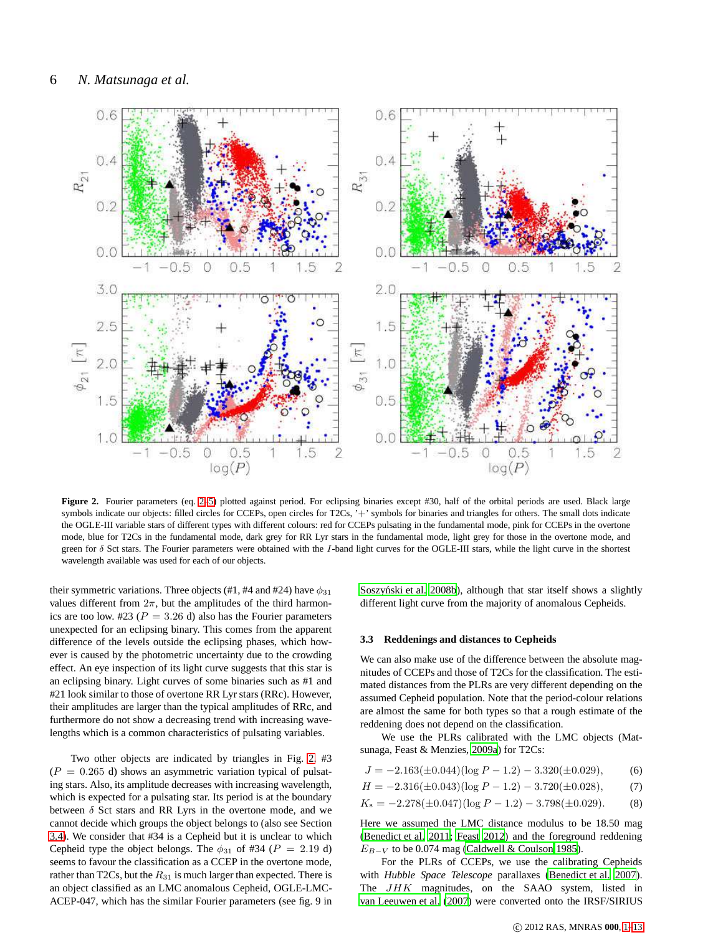

<span id="page-5-1"></span>Figure 2. Fourier parameters (eq. [2–5\)](#page-3-3) plotted against period. For eclipsing binaries except #30, half of the orbital periods are used. Black large symbols indicate our objects: filled circles for CCEPs, open circles for T2Cs, '+' symbols for binaries and triangles for others. The small dots indicate the OGLE-III variable stars of different types with different colours: red for CCEPs pulsating in the fundamental mode, pink for CCEPs in the overtone mode, blue for T2Cs in the fundamental mode, dark grey for RR Lyr stars in the fundamental mode, light grey for those in the overtone mode, and green for  $\delta$  Sct stars. The Fourier parameters were obtained with the I-band light curves for the OGLE-III stars, while the light curve in the shortest wavelength available was used for each of our objects.

their symmetric variations. Three objects (#1, #4 and #24) have  $\phi_{31}$ values different from  $2\pi$ , but the amplitudes of the third harmonics are too low. #23 ( $P = 3.26$  d) also has the Fourier parameters unexpected for an eclipsing binary. This comes from the apparent difference of the levels outside the eclipsing phases, which however is caused by the photometric uncertainty due to the crowding effect. An eye inspection of its light curve suggests that this star is an eclipsing binary. Light curves of some binaries such as #1 and #21 look similar to those of overtone RR Lyr stars (RRc). However, their amplitudes are larger than the typical amplitudes of RRc, and furthermore do not show a decreasing trend with increasing wavelengths which is a common characteristics of pulsating variables.

Two other objects are indicated by triangles in Fig. [2.](#page-5-1) #3  $(P = 0.265$  d) shows an asymmetric variation typical of pulsating stars. Also, its amplitude decreases with increasing wavelength, which is expected for a pulsating star. Its period is at the boundary between  $\delta$  Sct stars and RR Lyrs in the overtone mode, and we cannot decide which groups the object belongs to (also see Section [3.4\)](#page-7-0). We consider that #34 is a Cepheid but it is unclear to which Cepheid type the object belongs. The  $\phi_{31}$  of #34 ( $P = 2.19$  d) seems to favour the classification as a CCEP in the overtone mode, rather than T2Cs, but the  $R_{31}$  is much larger than expected. There is an object classified as an LMC anomalous Cepheid, OGLE-LMC-ACEP-047, which has the similar Fourier parameters (see fig. 9 in Soszyński et al. 2008b), although that star itself shows a slightly different light curve from the majority of anomalous Cepheids.

#### <span id="page-5-0"></span>**3.3 Reddenings and distances to Cepheids**

We can also make use of the difference between the absolute magnitudes of CCEPs and those of T2Cs for the classification. The estimated distances from the PLRs are very different depending on the assumed Cepheid population. Note that the period-colour relations are almost the same for both types so that a rough estimate of the reddening does not depend on the classification.

We use the PLRs calibrated with the LMC objects (Matsunaga, Feast & Menzies, [2009a](#page-12-26)) for T2Cs:

$$
J = -2.163(\pm 0.044)(\log P - 1.2) - 3.320(\pm 0.029),
$$
 (6)

$$
H = -2.316(\pm 0.043)(\log P - 1.2) - 3.720(\pm 0.028),\tag{7}
$$

$$
K_s = -2.278(\pm 0.047)(\log P - 1.2) - 3.798(\pm 0.029). \tag{8}
$$

Here we assumed the LMC distance modulus to be 18.50 mag [\(Benedict et al. 2011](#page-12-27); [Feast 2012](#page-12-28)) and the foreground reddening  $E_{B-V}$  to be 0.074 mag [\(Caldwell & Coulson 1985\)](#page-12-29).

For the PLRs of CCEPs, we use the calibrating Cepheids with *Hubble Space Telescope* parallaxes [\(Benedict et al. 2007](#page-12-30)). The JHK magnitudes, on the SAAO system, listed in [van Leeuwen et al.](#page-12-31) [\(2007](#page-12-31)) were converted onto the IRSF/SIRIUS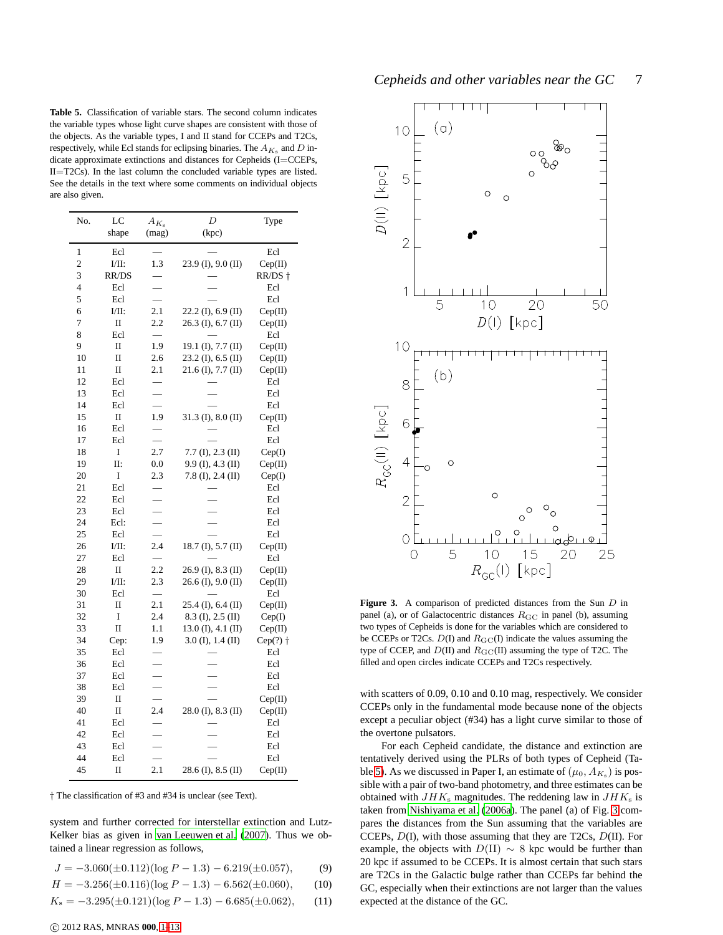<span id="page-6-0"></span>**Table 5.** Classification of variable stars. The second column indicates the variable types whose light curve shapes are consistent with those of the objects. As the variable types, I and II stand for CCEPs and T2Cs, respectively, while Ecl stands for eclipsing binaries. The  $A_{K_s}$  and D indicate approximate extinctions and distances for Cepheids (I=CCEPs, II=T2Cs). In the last column the concluded variable types are listed. See the details in the text where some comments on individual objects are also given.

| No. | LC           | $A_{K_{\rm s}}$ | $\boldsymbol{D}$       | Type               |
|-----|--------------|-----------------|------------------------|--------------------|
|     | shape        | (mag)           | (kpc)                  |                    |
| 1   | Ecl          |                 |                        | Ecl                |
| 2   | I/II:        | 1.3             | $23.9$ (I), $9.0$ (II) | Cep(II)            |
| 3   | RR/DS        |                 |                        | RR/DS †            |
| 4   | Ecl          |                 |                        | Ecl                |
| 5   | Ecl          |                 |                        | Ecl                |
| 6   | I/II:        | 2.1             | $22.2$ (I), 6.9 (II)   | Cep(II)            |
| 7   | $\mathbf{I}$ | 2.2             | $26.3$ (I), 6.7 (II)   | Cep(II)            |
| 8   | Ecl          | $\equiv$        |                        | Ecl                |
| 9   | $\mathbf{I}$ | 1.9             | 19.1 $(I), 7.7 (II)$   | Cep(II)            |
| 10  | $\mathbf I$  | 2.6             | $23.2$ (I), 6.5 (II)   | Cep(II)            |
| 11  | П            | 2.1             | $21.6$ (I), $7.7$ (II) | Cep(II)            |
| 12  | Ecl          |                 |                        | Ecl                |
| 13  | Ecl          |                 |                        | Ecl                |
| 14  | Ecl          |                 |                        | Ecl                |
| 15  | П            | 1.9             | $31.3$ (I), $8.0$ (II) | Cep(II)            |
| 16  | Ecl          |                 |                        | Ecl                |
| 17  | Ecl          |                 |                        | Ecl                |
| 18  | I            | 2.7             | $7.7$ (I), $2.3$ (II)  | Cep(I)             |
| 19  | Π:           | 0.0             | 9.9 (I), 4.3 (II)      | Cep(II)            |
| 20  | I            | 2.3             | $7.8$ (I), 2.4 (II)    | Cep(I)             |
| 21  | Ecl          |                 |                        | Ecl                |
| 22  | Ecl          |                 |                        | Ecl                |
| 23  | Ecl          |                 |                        | Ecl                |
| 24  | Ecl:         |                 |                        | Ecl                |
| 25  | Ecl          |                 |                        | Ecl                |
| 26  | I/II:        | 2.4             | 18.7 (I), $5.7$ (II)   | Cep(II)            |
| 27  | Ecl          |                 |                        | Ecl                |
| 28  | П            | 2.2             | $26.9$ (I), $8.3$ (II) | Cep(II)            |
| 29  | I/II:        | 2.3             | $26.6$ (I), $9.0$ (II) | Cep(II)            |
| 30  | Ecl          |                 |                        | Ecl                |
| 31  | $\mathbf{I}$ | 2.1             | $25.4$ (I), 6.4 (II)   | Cep(II)            |
| 32  | I            | 2.4             | $8.3$ (I), $2.5$ (II)  | Cep(I)             |
| 33  | $\mathbf I$  | 1.1             | $13.0$ (I), $4.1$ (II) | Cep(II)            |
| 34  | Cep:         | 1.9             | $3.0$ (I), 1.4 (II)    | $Cep(?)$ $\dagger$ |
| 35  | Ecl          |                 |                        | Ecl                |
| 36  | Ecl          |                 |                        | Ecl                |
| 37  | Ecl          |                 |                        | Ecl                |
| 38  | Ecl          |                 |                        | Ecl                |
| 39  | П            |                 |                        | Cep(II)            |
| 40  | П            | 2.4             | $28.0$ (I), $8.3$ (II) | Cep(II)            |
| 41  | Ecl          |                 |                        | Ecl                |
| 42  | Ecl          |                 |                        | Ecl                |
| 43  | Ecl          |                 |                        | Ecl                |
| 44  | Ecl          |                 |                        | Ecl                |
| 45  | Π            | 2.1             | 28.6 (I), 8.5 (II)     | Cep(II)            |

† The classification of #3 and #34 is unclear (see Text).

system and further corrected for interstellar extinction and Lutz-Kelker bias as given in [van Leeuwen et al. \(2007\)](#page-12-31). Thus we obtained a linear regression as follows,

$$
J = -3.060(\pm 0.112)(\log P - 1.3) - 6.219(\pm 0.057),
$$
 (9)

$$
H = -3.256(\pm 0.116)(\log P - 1.3) - 6.562(\pm 0.060), \qquad (10)
$$

$$
K_s = -3.295(\pm 0.121)(\log P - 1.3) - 6.685(\pm 0.062),
$$
 (11)



<span id="page-6-1"></span>Figure 3. A comparison of predicted distances from the Sun D in panel (a), or of Galactocentric distances  $R_{\text{GC}}$  in panel (b), assuming two types of Cepheids is done for the variables which are considered to be CCEPs or T2Cs.  $D(I)$  and  $R_{G}C(I)$  indicate the values assuming the type of CCEP, and  $D(II)$  and  $R_{\text{GC}}(II)$  assuming the type of T2C. The filled and open circles indicate CCEPs and T2Cs respectively.

with scatters of 0.09, 0.10 and 0.10 mag, respectively. We consider CCEPs only in the fundamental mode because none of the objects except a peculiar object (#34) has a light curve similar to those of the overtone pulsators.

For each Cepheid candidate, the distance and extinction are tentatively derived using the PLRs of both types of Cepheid (Ta-ble [5\)](#page-6-0). As we discussed in Paper I, an estimate of  $(\mu_0, A_{K_s})$  is possible with a pair of two-band photometry, and three estimates can be obtained with  $JHK<sub>s</sub>$  magnitudes. The reddening law in  $JHK<sub>s</sub>$  is taken from [Nishiyama et al. \(2006a](#page-12-32)). The panel (a) of Fig. [3](#page-6-1) compares the distances from the Sun assuming that the variables are CCEPs, D(I), with those assuming that they are T2Cs, D(II). For example, the objects with  $D(II) \sim 8$  kpc would be further than 20 kpc if assumed to be CCEPs. It is almost certain that such stars are T2Cs in the Galactic bulge rather than CCEPs far behind the GC, especially when their extinctions are not larger than the values expected at the distance of the GC.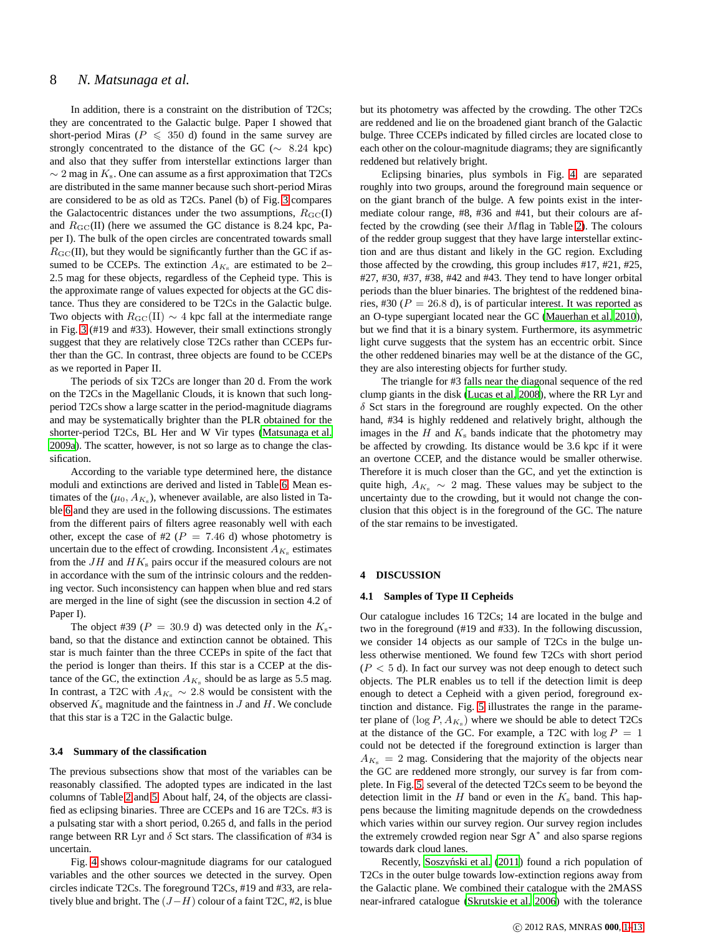# 8 *N. Matsunaga et al.*

In addition, there is a constraint on the distribution of T2Cs; they are concentrated to the Galactic bulge. Paper I showed that short-period Miras ( $P \le 350$  d) found in the same survey are strongly concentrated to the distance of the GC ( $\sim$  8.24 kpc) and also that they suffer from interstellar extinctions larger than  $\sim$  2 mag in  $K_s$ . One can assume as a first approximation that T2Cs are distributed in the same manner because such short-period Miras are considered to be as old as T2Cs. Panel (b) of Fig. [3](#page-6-1) compares the Galactocentric distances under the two assumptions,  $R_{\text{GC}}(I)$ and  $R_{\text{GC}}(II)$  (here we assumed the GC distance is 8.24 kpc, Paper I). The bulk of the open circles are concentrated towards small  $R<sub>GC</sub>(II)$ , but they would be significantly further than the GC if assumed to be CCEPs. The extinction  $A_{K_s}$  are estimated to be 2– 2.5 mag for these objects, regardless of the Cepheid type. This is the approximate range of values expected for objects at the GC distance. Thus they are considered to be T2Cs in the Galactic bulge. Two objects with  $R_{\text{GC}}(II) \sim 4$  kpc fall at the intermediate range in Fig. [3](#page-6-1) (#19 and #33). However, their small extinctions strongly suggest that they are relatively close T2Cs rather than CCEPs further than the GC. In contrast, three objects are found to be CCEPs as we reported in Paper II.

The periods of six T2Cs are longer than 20 d. From the work on the T2Cs in the Magellanic Clouds, it is known that such longperiod T2Cs show a large scatter in the period-magnitude diagrams and may be systematically brighter than the PLR obtained for the shorter-period T2Cs, BL Her and W Vir types [\(Matsunaga et al.](#page-12-26) [2009a](#page-12-26)). The scatter, however, is not so large as to change the classification.

According to the variable type determined here, the distance moduli and extinctions are derived and listed in Table [6.](#page-8-0) Mean estimates of the  $(\mu_0, A_{K_s})$ , whenever available, are also listed in Table [6](#page-8-0) and they are used in the following discussions. The estimates from the different pairs of filters agree reasonably well with each other, except the case of #2 ( $P = 7.46$  d) whose photometry is uncertain due to the effect of crowding. Inconsistent  $A_{K_s}$  estimates from the  $JH$  and  $HK<sub>s</sub>$  pairs occur if the measured colours are not in accordance with the sum of the intrinsic colours and the reddening vector. Such inconsistency can happen when blue and red stars are merged in the line of sight (see the discussion in section 4.2 of Paper I).

The object #39 ( $P = 30.9$  d) was detected only in the  $K_s$ band, so that the distance and extinction cannot be obtained. This star is much fainter than the three CCEPs in spite of the fact that the period is longer than theirs. If this star is a CCEP at the distance of the GC, the extinction  $A_{K_s}$  should be as large as 5.5 mag. In contrast, a T2C with  $A_{K_s} \sim 2.8$  would be consistent with the observed  $K_s$  magnitude and the faintness in  $J$  and  $H$ . We conclude that this star is a T2C in the Galactic bulge.

#### <span id="page-7-0"></span>**3.4 Summary of the classification**

The previous subsections show that most of the variables can be reasonably classified. The adopted types are indicated in the last columns of Table [2](#page-2-0) and [5.](#page-6-0) About half, 24, of the objects are classified as eclipsing binaries. Three are CCEPs and 16 are T2Cs. #3 is a pulsating star with a short period, 0.265 d, and falls in the period range between RR Lyr and  $\delta$  Sct stars. The classification of #34 is uncertain.

Fig. [4](#page-8-1) shows colour-magnitude diagrams for our catalogued variables and the other sources we detected in the survey. Open circles indicate T2Cs. The foreground T2Cs, #19 and #33, are relatively blue and bright. The  $(J-H)$  colour of a faint T2C, #2, is blue but its photometry was affected by the crowding. The other T2Cs are reddened and lie on the broadened giant branch of the Galactic bulge. Three CCEPs indicated by filled circles are located close to each other on the colour-magnitude diagrams; they are significantly reddened but relatively bright.

Eclipsing binaries, plus symbols in Fig. [4,](#page-8-1) are separated roughly into two groups, around the foreground main sequence or on the giant branch of the bulge. A few points exist in the intermediate colour range, #8, #36 and #41, but their colours are affected by the crowding (see their Mflag in Table [2\)](#page-2-0). The colours of the redder group suggest that they have large interstellar extinction and are thus distant and likely in the GC region. Excluding those affected by the crowding, this group includes #17, #21, #25, #27, #30, #37, #38, #42 and #43. They tend to have longer orbital periods than the bluer binaries. The brightest of the reddened binaries, #30 ( $P = 26.8$  d), is of particular interest. It was reported as an O-type supergiant located near the GC [\(Mauerhan et al. 2010](#page-12-10)), but we find that it is a binary system. Furthermore, its asymmetric light curve suggests that the system has an eccentric orbit. Since the other reddened binaries may well be at the distance of the GC, they are also interesting objects for further study.

The triangle for #3 falls near the diagonal sequence of the red clump giants in the disk [\(Lucas et al. 2008](#page-12-33)), where the RR Lyr and  $\delta$  Sct stars in the foreground are roughly expected. On the other hand, #34 is highly reddened and relatively bright, although the images in the  $H$  and  $K<sub>s</sub>$  bands indicate that the photometry may be affected by crowding. Its distance would be 3.6 kpc if it were an overtone CCEP, and the distance would be smaller otherwise. Therefore it is much closer than the GC, and yet the extinction is quite high,  $A_{K_s} \sim 2$  mag. These values may be subject to the uncertainty due to the crowding, but it would not change the conclusion that this object is in the foreground of the GC. The nature of the star remains to be investigated.

#### **4 DISCUSSION**

# **4.1 Samples of Type II Cepheids**

Our catalogue includes 16 T2Cs; 14 are located in the bulge and two in the foreground (#19 and #33). In the following discussion, we consider 14 objects as our sample of T2Cs in the bulge unless otherwise mentioned. We found few T2Cs with short period  $(P < 5 d)$ . In fact our survey was not deep enough to detect such objects. The PLR enables us to tell if the detection limit is deep enough to detect a Cepheid with a given period, foreground extinction and distance. Fig. [5](#page-9-0) illustrates the range in the parameter plane of  $(\log P, A_{K_s})$  where we should be able to detect T2Cs at the distance of the GC. For example, a T2C with  $log P = 1$ could not be detected if the foreground extinction is larger than  $A_{K_s} = 2$  mag. Considering that the majority of the objects near the GC are reddened more strongly, our survey is far from complete. In Fig. [5,](#page-9-0) several of the detected T2Cs seem to be beyond the detection limit in the H band or even in the  $K_s$  band. This happens because the limiting magnitude depends on the crowdedness which varies within our survey region. Our survey region includes the extremely crowded region near Sgr A<sup>∗</sup> and also sparse regions towards dark cloud lanes.

Recently, Soszyński et al. (2011) found a rich population of T2Cs in the outer bulge towards low-extinction regions away from the Galactic plane. We combined their catalogue with the 2MASS near-infrared catalogue [\(Skrutskie et al. 2006](#page-12-35)) with the tolerance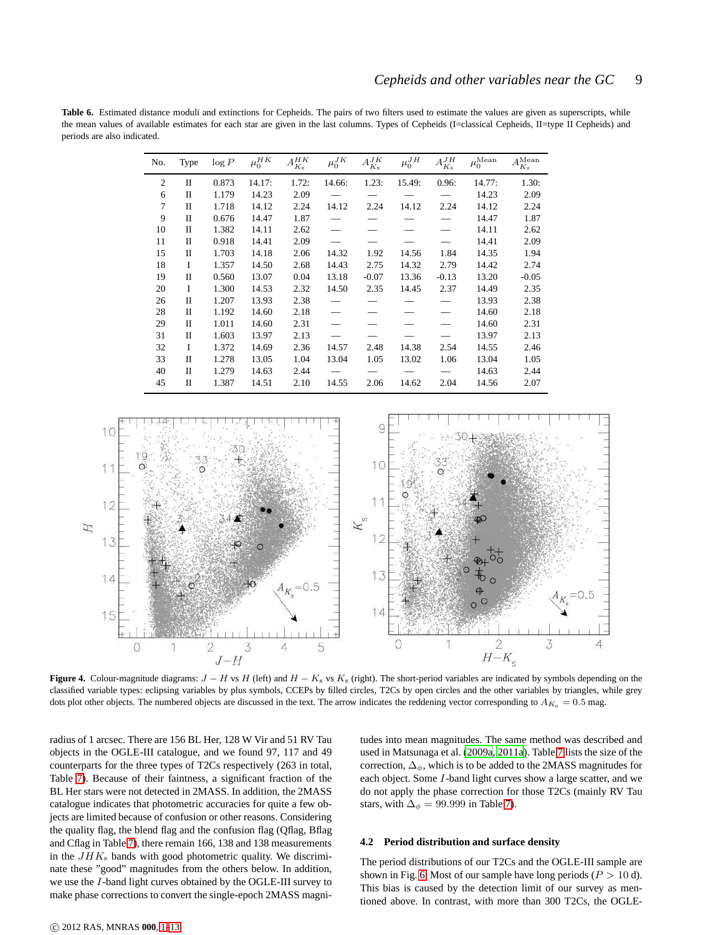<span id="page-8-0"></span>**Table 6.** Estimated distance moduli and extinctions for Cepheids. The pairs of two filters used to estimate the values are given as superscripts, while the mean values of available estimates for each star are given in the last columns. Types of Cepheids (I=classical Cepheids, II=type II Cepheids) and periods are also indicated.

| No.            | Type | $\log P$ | $\mu_0^{HK}$ | $A_{K_{\rm s}}^{HK}$ | $\mu_0^{JK}$ | $A_{K_{\rm s}}^{JK}$ | $\mu_0^{JH}$ | $A^{JH}_{K_{\rm s}}$ | $\mu_0^{\text{Mean}}$ | $A_{K_{\rm s}}^{\rm Mean}$ |
|----------------|------|----------|--------------|----------------------|--------------|----------------------|--------------|----------------------|-----------------------|----------------------------|
| 2              | П    | 0.873    | 14.17:       | 1.72:                | 14.66:       | 1.23:                | 15.49:       | 0.96:                | 14.77:                | 1.30:                      |
| 6              | П    | 1.179    | 14.23        | 2.09                 |              |                      |              |                      | 14.23                 | 2.09                       |
| $\overline{7}$ | П    | 1.718    | 14.12        | 2.24                 | 14.12        | 2.24                 | 14.12        | 2.24                 | 14.12                 | 2.24                       |
| 9              | П    | 0.676    | 14.47        | 1.87                 |              |                      |              |                      | 14.47                 | 1.87                       |
| 10             | П    | 1.382    | 14.11        | 2.62                 |              |                      |              |                      | 14.11                 | 2.62                       |
| 11             | П    | 0.918    | 14.41        | 2.09                 |              |                      |              |                      | 14.41                 | 2.09                       |
| 15             | П    | 1.703    | 14.18        | 2.06                 | 14.32        | 1.92                 | 14.56        | 1.84                 | 14.35                 | 1.94                       |
| 18             | I    | 1.357    | 14.50        | 2.68                 | 14.43        | 2.75                 | 14.32        | 2.79                 | 14.42                 | 2.74                       |
| 19             | П    | 0.560    | 13.07        | 0.04                 | 13.18        | $-0.07$              | 13.36        | $-0.13$              | 13.20                 | $-0.05$                    |
| 20             | I    | 1.300    | 14.53        | 2.32                 | 14.50        | 2.35                 | 14.45        | 2.37                 | 14.49                 | 2.35                       |
| 26             | П    | 1.207    | 13.93        | 2.38                 |              |                      |              |                      | 13.93                 | 2.38                       |
| 28             | П    | 1.192    | 14.60        | 2.18                 |              |                      |              |                      | 14.60                 | 2.18                       |
| 29             | П    | 1.011    | 14.60        | 2.31                 |              |                      |              |                      | 14.60                 | 2.31                       |
| 31             | П    | 1.603    | 13.97        | 2.13                 |              |                      |              |                      | 13.97                 | 2.13                       |
| 32             | I    | 1.372    | 14.69        | 2.36                 | 14.57        | 2.48                 | 14.38        | 2.54                 | 14.55                 | 2.46                       |
| 33             | П    | 1.278    | 13.05        | 1.04                 | 13.04        | 1.05                 | 13.02        | 1.06                 | 13.04                 | 1.05                       |
| 40             | П    | 1.279    | 14.63        | 2.44                 |              |                      |              |                      | 14.63                 | 2.44                       |
| 45             | П    | 1.387    | 14.51        | 2.10                 | 14.55        | 2.06                 | 14.62        | 2.04                 | 14.56                 | 2.07                       |



<span id="page-8-1"></span>**Figure 4.** Colour-magnitude diagrams:  $J - H$  vs H (left) and  $H - K_s$  vs  $K_s$  (right). The short-period variables are indicated by symbols depending on the classified variable types: eclipsing variables by plus symbols, CCEPs by filled circles, T2Cs by open circles and the other variables by triangles, while grey dots plot other objects. The numbered objects are discussed in the text. The arrow indicates the reddening vector corresponding to  $A_{K_8} = 0.5$  mag.

radius of 1 arcsec. There are 156 BL Her, 128 W Vir and 51 RV Tau objects in the OGLE-III catalogue, and we found 97, 117 and 49 counterparts for the three types of T2Cs respectively (263 in total, Table [7\)](#page-9-1). Because of their faintness, a significant fraction of the BL Her stars were not detected in 2MASS. In addition, the 2MASS catalogue indicates that photometric accuracies for quite a few objects are limited because of confusion or other reasons. Considering the quality flag, the blend flag and the confusion flag (Qflag, Bflag and Cflag in Table [7\)](#page-9-1), there remain 166, 138 and 138 measurements in the  $JHK<sub>s</sub>$  bands with good photometric quality. We discriminate these "good" magnitudes from the others below. In addition, we use the I-band light curves obtained by the OGLE-III survey to make phase corrections to convert the single-epoch 2MASS magnitudes into mean magnitudes. The same method was described and used in Matsunaga et al. [\(2009a](#page-12-26), [2011a](#page-12-12)). Table [7](#page-9-1) lists the size of the correction,  $\Delta_{\phi}$ , which is to be added to the 2MASS magnitudes for each object. Some I-band light curves show a large scatter, and we do not apply the phase correction for those T2Cs (mainly RV Tau stars, with  $\Delta_{\phi} = 99.999$  in Table [7\)](#page-9-1).

#### **4.2 Period distribution and surface density**

The period distributions of our T2Cs and the OGLE-III sample are shown in Fig. [6.](#page-9-2) Most of our sample have long periods ( $P > 10$  d). This bias is caused by the detection limit of our survey as mentioned above. In contrast, with more than 300 T2Cs, the OGLE-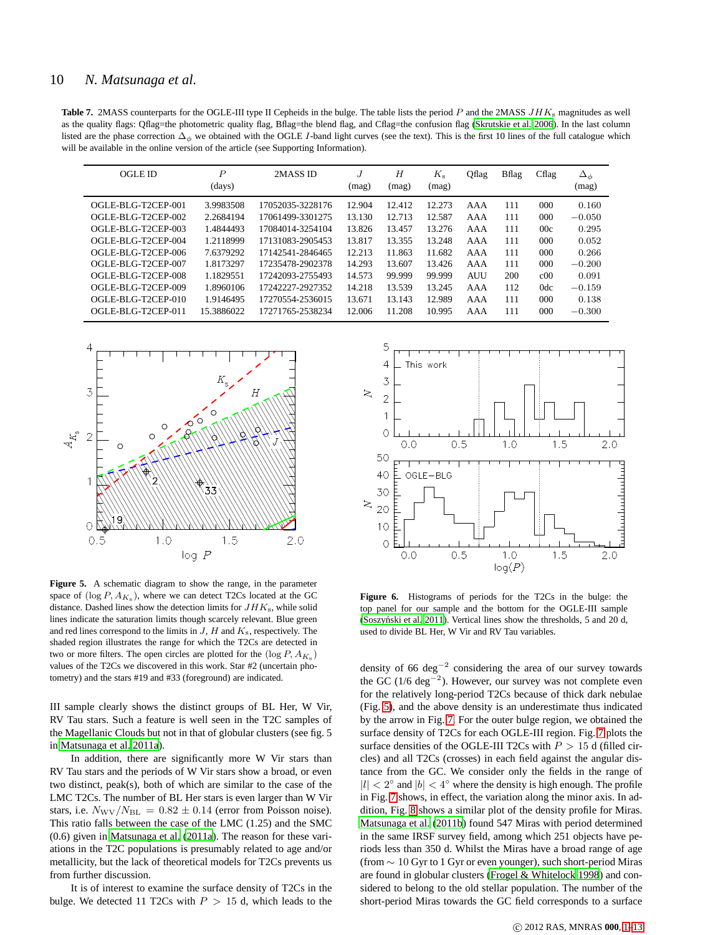<span id="page-9-1"></span>Table 7. 2MASS counterparts for the OGLE-III type II Cepheids in the bulge. The table lists the period P and the 2MASS JHK<sub>s</sub> magnitudes as well as the quality flags: Qflag=the photometric quality flag, Bflag=the blend flag, and Cflag=the confusion flag [\(Skrutskie et al.](#page-12-35) [2006](#page-12-35)). In the last column listed are the phase correction  $\Delta_{\phi}$  we obtained with the OGLE I-band light curves (see the text). This is the first 10 lines of the full catalogue which will be available in the online version of the article (see Supporting Information).

| <b>OGLE ID</b>     | $\boldsymbol{P}$<br>(days) | 2MASS ID         | J<br>(mag) | H<br>(mag) | $K_{\rm s}$<br>(mag) | Qflag      | <b>B</b> flag | Cflag           | $\Delta_{\phi}$<br>(mag) |
|--------------------|----------------------------|------------------|------------|------------|----------------------|------------|---------------|-----------------|--------------------------|
| OGLE-BLG-T2CEP-001 | 3.9983508                  | 17052035-3228176 | 12.904     | 12.412     | 12.273               | AAA        | 111           | 000             | 0.160                    |
| OGLE-BLG-T2CEP-002 | 2.2684194                  | 17061499-3301275 | 13.130     | 12.713     | 12.587               | AAA        | 111           | $000 \,$        | $-0.050$                 |
| OGLE-BLG-T2CEP-003 | 1.4844493                  | 17084014-3254104 | 13.826     | 13.457     | 13.276               | AAA        | 111           | 00c             | 0.295                    |
| OGLE-BLG-T2CEP-004 | 1.2118999                  | 17131083-2905453 | 13.817     | 13.355     | 13.248               | AAA        | 111           | $000 \,$        | 0.052                    |
| OGLE-BLG-T2CEP-006 | 7.6379292                  | 17142541-2846465 | 12.213     | 11.863     | 11.682               | AAA        | 111           | $000 \,$        | 0.266                    |
| OGLE-BLG-T2CEP-007 | 1.8173297                  | 17235478-2902378 | 14.293     | 13.607     | 13.426               | AAA        | 111           | $000 \,$        | $-0.200$                 |
| OGLE-BLG-T2CEP-008 | 1.1829551                  | 17242093-2755493 | 14.573     | 99.999     | 99.999               | <b>AUU</b> | 200           | c <sub>00</sub> | 0.091                    |
| OGLE-BLG-T2CEP-009 | 1.8960106                  | 17242227-2927352 | 14.218     | 13.539     | 13.245               | AAA        | 112           | 0 <sub>dc</sub> | $-0.159$                 |
| OGLE-BLG-T2CEP-010 | 1.9146495                  | 17270554-2536015 | 13.671     | 13.143     | 12.989               | AAA        | 111           | 000             | 0.138                    |
| OGLE-BLG-T2CEP-011 | 15.3886022                 | 17271765-2538234 | 12.006     | 11.208     | 10.995               | AAA        | 111           | $000 \,$        | $-0.300$                 |



<span id="page-9-0"></span>**Figure 5.** A schematic diagram to show the range, in the parameter space of  $(\log P, A_{K_s})$ , where we can detect T2Cs located at the GC distance. Dashed lines show the detection limits for  $JHK<sub>s</sub>$ , while solid lines indicate the saturation limits though scarcely relevant. Blue green and red lines correspond to the limits in  $J$ ,  $H$  and  $K_s$ , respectively. The shaded region illustrates the range for which the T2Cs are detected in two or more filters. The open circles are plotted for the  $(\log P, A_{K_s})$ values of the T2Cs we discovered in this work. Star #2 (uncertain photometry) and the stars #19 and #33 (foreground) are indicated.

III sample clearly shows the distinct groups of BL Her, W Vir, RV Tau stars. Such a feature is well seen in the T2C samples of the Magellanic Clouds but not in that of globular clusters (see fig. 5 in [Matsunaga et al. 2011a](#page-12-12)).

In addition, there are significantly more W Vir stars than RV Tau stars and the periods of W Vir stars show a broad, or even two distinct, peak(s), both of which are similar to the case of the LMC T2Cs. The number of BL Her stars is even larger than W Vir stars, i.e.  $N_{\text{WV}}/N_{\text{BL}} = 0.82 \pm 0.14$  (error from Poisson noise). This ratio falls between the case of the LMC (1.25) and the SMC (0.6) given in [Matsunaga et al. \(2011a](#page-12-12)). The reason for these variations in the T2C populations is presumably related to age and/or metallicity, but the lack of theoretical models for T2Cs prevents us from further discussion.

It is of interest to examine the surface density of T2Cs in the bulge. We detected 11 T2Cs with  $P > 15$  d, which leads to the



<span id="page-9-2"></span>**Figure 6.** Histograms of periods for the T2Cs in the bulge: the top panel for our sample and the bottom for the OGLE-III sample (Soszyński et al. 2011). Vertical lines show the thresholds, 5 and 20 d, used to divide BL Her, W Vir and RV Tau variables.

density of 66 deg<sup>-2</sup> considering the area of our survey towards the GC ( $1/6 \text{ deg}^{-2}$ ). However, our survey was not complete even for the relatively long-period T2Cs because of thick dark nebulae (Fig. [5\)](#page-9-0), and the above density is an underestimate thus indicated by the arrow in Fig. [7.](#page-10-0) For the outer bulge region, we obtained the surface density of T2Cs for each OGLE-III region. Fig. [7](#page-10-0) plots the surface densities of the OGLE-III T2Cs with  $P\,>$  15 d (filled circles) and all T2Cs (crosses) in each field against the angular distance from the GC. We consider only the fields in the range of  $|l| < 2^{\circ}$  and  $|b| < 4^{\circ}$  where the density is high enough. The profile in Fig. [7](#page-10-0) shows, in effect, the variation along the minor axis. In addition, Fig. [8](#page-10-1) shows a similar plot of the density profile for Miras. [Matsunaga et al.](#page-12-19) [\(2011b\)](#page-12-19) found 547 Miras with period determined in the same IRSF survey field, among which 251 objects have periods less than 350 d. Whilst the Miras have a broad range of age (from ∼ 10 Gyr to 1 Gyr or even younger), such short-period Miras are found in globular clusters [\(Frogel & Whitelock 1998\)](#page-12-36) and considered to belong to the old stellar population. The number of the short-period Miras towards the GC field corresponds to a surface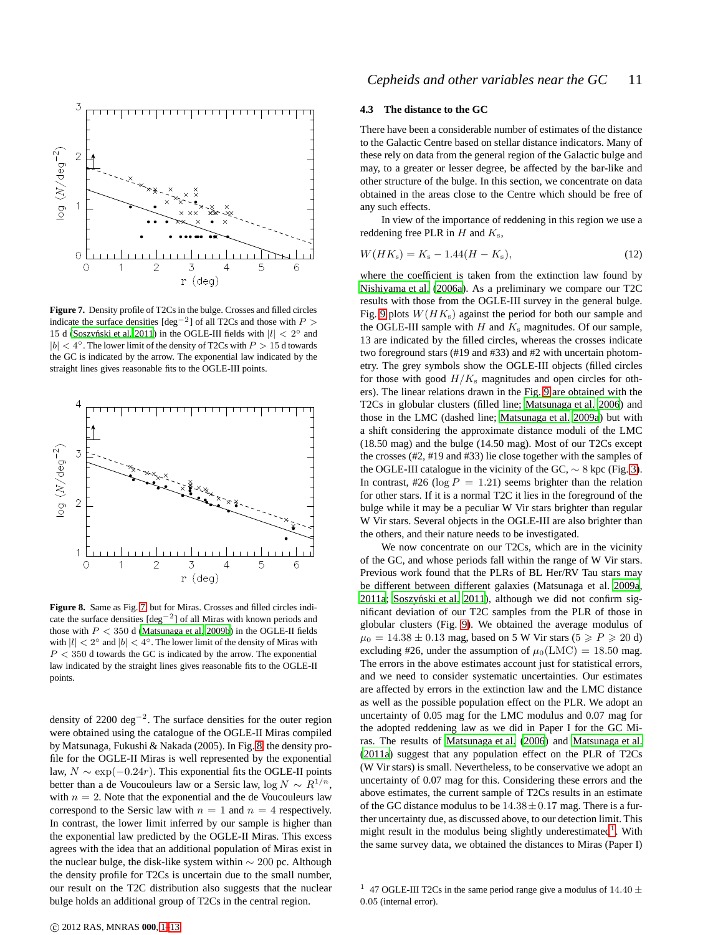

<span id="page-10-0"></span>**Figure 7.** Density profile of T2Cs in the bulge. Crosses and filled circles indicate the surface densities  $[\text{deg}^{-2}]$  of all T2Cs and those with  $P >$ 15 d (Soszyński et al. 2011) in the OGLE-III fields with  $|l| < 2^{\circ}$  and  $|b| < 4^\circ$ . The lower limit of the density of T2Cs with  $P > 15$  d towards the GC is indicated by the arrow. The exponential law indicated by the straight lines gives reasonable fits to the OGLE-III points.



<span id="page-10-1"></span>**Figure 8.** Same as Fig. [7,](#page-10-0) but for Miras. Crosses and filled circles indicate the surface densities [deg−<sup>2</sup> ] of all Miras with known periods and those with  $P < 350$  d [\(Matsunaga et al. 2009b\)](#page-12-18) in the OGLE-II fields with  $|l| < 2^{\circ}$  and  $|b| < 4^{\circ}$ . The lower limit of the density of Miras with  $P < 350$  d towards the GC is indicated by the arrow. The exponential law indicated by the straight lines gives reasonable fits to the OGLE-II points.

density of 2200 deg<sup>-2</sup>. The surface densities for the outer region were obtained using the catalogue of the OGLE-II Miras compiled by Matsunaga, Fukushi & Nakada (2005). In Fig. [8,](#page-10-1) the density profile for the OGLE-II Miras is well represented by the exponential law,  $N \sim \exp(-0.24r)$ . This exponential fits the OGLE-II points better than a de Voucouleurs law or a Sersic law, log  $N \sim R^{1/n}$ , with  $n = 2$ . Note that the exponential and the de Voucouleurs law correspond to the Sersic law with  $n = 1$  and  $n = 4$  respectively. In contrast, the lower limit inferred by our sample is higher than the exponential law predicted by the OGLE-II Miras. This excess agrees with the idea that an additional population of Miras exist in the nuclear bulge, the disk-like system within  $\sim 200$  pc. Although the density profile for T2Cs is uncertain due to the small number, our result on the T2C distribution also suggests that the nuclear bulge holds an additional group of T2Cs in the central region.

# **4.3 The distance to the GC**

There have been a considerable number of estimates of the distance to the Galactic Centre based on stellar distance indicators. Many of these rely on data from the general region of the Galactic bulge and may, to a greater or lesser degree, be affected by the bar-like and other structure of the bulge. In this section, we concentrate on data obtained in the areas close to the Centre which should be free of any such effects.

In view of the importance of reddening in this region we use a reddening free PLR in  $H$  and  $K_s$ ,

$$
W(HK_{\rm s}) = K_{\rm s} - 1.44(H - K_{\rm s}),\tag{12}
$$

where the coefficient is taken from the extinction law found by [Nishiyama et al. \(2006a\)](#page-12-32). As a preliminary we compare our T2C results with those from the OGLE-III survey in the general bulge. Fig. [9](#page-11-0) plots  $W(HK<sub>s</sub>)$  against the period for both our sample and the OGLE-III sample with  $H$  and  $K_s$  magnitudes. Of our sample, 13 are indicated by the filled circles, whereas the crosses indicate two foreground stars (#19 and #33) and #2 with uncertain photometry. The grey symbols show the OGLE-III objects (filled circles for those with good  $H/K_s$  magnitudes and open circles for others). The linear relations drawn in the Fig. [9](#page-11-0) are obtained with the T2Cs in globular clusters (filled line; [Matsunaga et al. 2006](#page-12-37)) and those in the LMC (dashed line; [Matsunaga et al. 2009a\)](#page-12-26) but with a shift considering the approximate distance moduli of the LMC (18.50 mag) and the bulge (14.50 mag). Most of our T2Cs except the crosses (#2, #19 and #33) lie close together with the samples of the OGLE-III catalogue in the vicinity of the GC,  $\sim 8$  kpc (Fig. [3\)](#page-6-1). In contrast, #26 ( $log P = 1.21$ ) seems brighter than the relation for other stars. If it is a normal T2C it lies in the foreground of the bulge while it may be a peculiar W Vir stars brighter than regular W Vir stars. Several objects in the OGLE-III are also brighter than the others, and their nature needs to be investigated.

We now concentrate on our T2Cs, which are in the vicinity of the GC, and whose periods fall within the range of W Vir stars. Previous work found that the PLRs of BL Her/RV Tau stars may be different between different galaxies (Matsunaga et al. [2009a](#page-12-26), [2011a;](#page-12-12) Soszyński et al. 2011), although we did not confirm significant deviation of our T2C samples from the PLR of those in globular clusters (Fig. [9\)](#page-11-0). We obtained the average modulus of  $\mu_0 = 14.38 \pm 0.13$  mag, based on 5 W Vir stars ( $5 \ge P \ge 20$  d) excluding #26, under the assumption of  $\mu_0(LMC) = 18.50$  mag. The errors in the above estimates account just for statistical errors, and we need to consider systematic uncertainties. Our estimates are affected by errors in the extinction law and the LMC distance as well as the possible population effect on the PLR. We adopt an uncertainty of 0.05 mag for the LMC modulus and 0.07 mag for the adopted reddening law as we did in Paper I for the GC Miras. The results of [Matsunaga et al. \(2006\)](#page-12-37) and [Matsunaga et al.](#page-12-12) [\(2011a\)](#page-12-12) suggest that any population effect on the PLR of T2Cs (W Vir stars) is small. Nevertheless, to be conservative we adopt an uncertainty of 0.07 mag for this. Considering these errors and the above estimates, the current sample of T2Cs results in an estimate of the GC distance modulus to be  $14.38 \pm 0.17$  mag. There is a further uncertainty due, as discussed above, to our detection limit. This might result in the modulus being slightly underestimated<sup>[1](#page-10-2)</sup>. With the same survey data, we obtained the distances to Miras (Paper I)

<span id="page-10-2"></span><sup>&</sup>lt;sup>1</sup> 47 OGLE-III T2Cs in the same period range give a modulus of 14.40  $\pm$ 0.05 (internal error).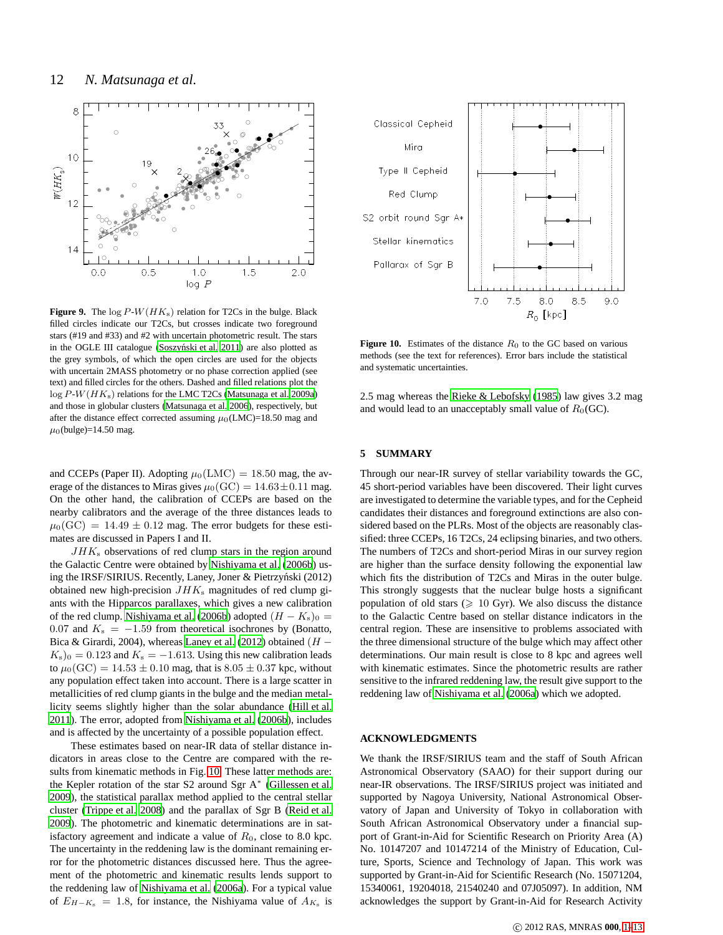

<span id="page-11-0"></span>**Figure 9.** The  $\log P-W(HK_s)$  relation for T2Cs in the bulge. Black filled circles indicate our T2Cs, but crosses indicate two foreground stars (#19 and #33) and #2 with uncertain photometric result. The stars in the OGLE III catalogue (Soszyński et al. 2011) are also plotted as the grey symbols, of which the open circles are used for the objects with uncertain 2MASS photometry or no phase correction applied (see text) and filled circles for the others. Dashed and filled relations plot the  $\log P-W(HK<sub>s</sub>)$  relations for the LMC T2Cs [\(Matsunaga et al. 2009a](#page-12-26)) and those in globular clusters [\(Matsunaga et al. 2006](#page-12-37)), respectively, but after the distance effect corrected assuming  $\mu_0$ (LMC)=18.50 mag and  $\mu_0$ (bulge)=14.50 mag.

and CCEPs (Paper II). Adopting  $\mu_0(LMC) = 18.50$  mag, the average of the distances to Miras gives  $\mu_0(GC) = 14.63 \pm 0.11$  mag. On the other hand, the calibration of CCEPs are based on the nearby calibrators and the average of the three distances leads to  $\mu_0(GC) = 14.49 \pm 0.12$  mag. The error budgets for these estimates are discussed in Papers I and II.

 $JHK<sub>s</sub>$  observations of red clump stars in the region around the Galactic Centre were obtained by [Nishiyama et al.](#page-12-38) [\(2006b\)](#page-12-38) using the IRSF/SIRIUS. Recently, Laney, Joner & Pietrzyński (2012) obtained new high-precision  $JHK<sub>s</sub>$  magnitudes of red clump giants with the Hipparcos parallaxes, which gives a new calibration of the red clump. [Nishiyama et al. \(2006b](#page-12-38)) adopted  $(H - K_s)_0 =$ 0.07 and  $K_s = -1.59$  from theoretical isochrones by (Bonatto, Bica & Girardi, 2004), whereas [Laney et al. \(2012](#page-12-39)) obtained  $(H K_s$ <sub>0</sub> = 0.123 and  $K_s$  = -1.613. Using this new calibration leads to  $\mu_0(GC) = 14.53 \pm 0.10$  mag, that is  $8.05 \pm 0.37$  kpc, without any population effect taken into account. There is a large scatter in metallicities of red clump giants in the bulge and the median metallicity seems slightly higher than the solar abundance (Hill [et al.](#page-12-40) [2011\)](#page-12-40). The error, adopted from [Nishiyama et al. \(2006b](#page-12-38)), includes and is affected by the uncertainty of a possible population effect.

These estimates based on near-IR data of stellar distance indicators in areas close to the Centre are compared with the results from kinematic methods in Fig. [10.](#page-11-1) These latter methods are: the Kepler rotation of the star S2 around Sgr A<sup>∗</sup> [\(Gillessen et al.](#page-12-15) [2009\)](#page-12-15), the statistical parallax method applied to the central stellar cluster [\(Trippe et al. 2008\)](#page-12-41) and the parallax of Sgr B [\(Reid et](#page-12-42) al. [2009\)](#page-12-42). The photometric and kinematic determinations are in satisfactory agreement and indicate a value of  $R_0$ , close to 8.0 kpc. The uncertainty in the reddening law is the dominant remaining error for the photometric distances discussed here. Thus the agreement of the photometric and kinematic results lends support to the reddening law of [Nishiyama et al.](#page-12-32) [\(2006a](#page-12-32)). For a typical value of  $E_{H-K_s} = 1.8$ , for instance, the Nishiyama value of  $A_{K_s}$  is



<span id="page-11-1"></span>**Figure 10.** Estimates of the distance  $R_0$  to the GC based on various methods (see the text for references). Error bars include the statistical and systematic uncertainties.

2.5 mag whereas the [Rieke & Lebofsky](#page-12-43) [\(1985](#page-12-43)) law gives 3.2 mag and would lead to an unacceptably small value of  $R_0(GC)$ .

#### **5 SUMMARY**

Through our near-IR survey of stellar variability towards the GC, 45 short-period variables have been discovered. Their light curves are investigated to determine the variable types, and for the Cepheid candidates their distances and foreground extinctions are also considered based on the PLRs. Most of the objects are reasonably classified: three CCEPs, 16 T2Cs, 24 eclipsing binaries, and two others. The numbers of T2Cs and short-period Miras in our survey region are higher than the surface density following the exponential law which fits the distribution of T2Cs and Miras in the outer bulge. This strongly suggests that the nuclear bulge hosts a significant population of old stars ( $\geq 10$  Gyr). We also discuss the distance to the Galactic Centre based on stellar distance indicators in the central region. These are insensitive to problems associated with the three dimensional structure of the bulge which may affect other determinations. Our main result is close to 8 kpc and agrees well with kinematic estimates. Since the photometric results are rather sensitive to the infrared reddening law, the result give support to the reddening law of [Nishiyama et al. \(2006a](#page-12-32)) which we adopted.

# **ACKNOWLEDGMENTS**

We thank the IRSF/SIRIUS team and the staff of South African Astronomical Observatory (SAAO) for their support during our near-IR observations. The IRSF/SIRIUS project was initiated and supported by Nagoya University, National Astronomical Observatory of Japan and University of Tokyo in collaboration with South African Astronomical Observatory under a financial support of Grant-in-Aid for Scientific Research on Priority Area (A) No. 10147207 and 10147214 of the Ministry of Education, Culture, Sports, Science and Technology of Japan. This work was supported by Grant-in-Aid for Scientific Research (No. 15071204, 15340061, 19204018, 21540240 and 07J05097). In addition, NM acknowledges the support by Grant-in-Aid for Research Activity